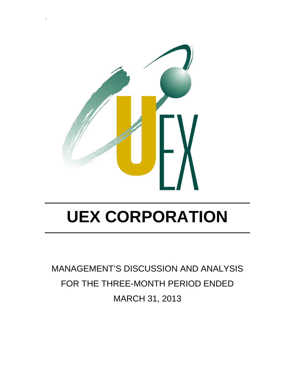

`

# **UEX CORPORATION**

MANAGEMENT'S DISCUSSION AND ANALYSIS FOR THE THREE-MONTH PERIOD ENDED MARCH 31, 2013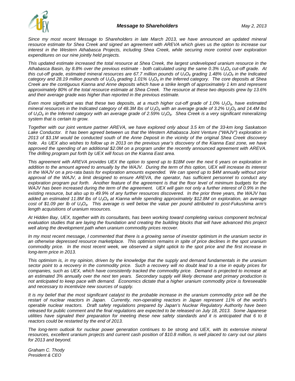

*Since my most recent Message to Shareholders in late March 2013, we have announced an updated mineral resource estimate for Shea Creek and signed an agreement with AREVA which gives us the option to increase our interest in the Western Athabasca Projects, including Shea Creek, while securing more control over exploration expenditures on our nine jointly held projects.* 

*This updated estimate increased the total resource at Shea Creek, the largest undeveloped uranium resource in the*  Athabasca Basin, by 8.8% over the previous estimate - both calculated using the same 0.3% U<sub>3</sub>O<sub>8</sub> cut-off grade. At *this cut-off grade, estimated mineral resources are 67.7 million pounds of*  $U_3O_8$  *grading 1.48%*  $U_3O_8$  *in the Indicated* category and 28.19 million pounds of U<sub>3</sub>O<sub>8</sub> grading 1.01% U<sub>3</sub>O<sub>8</sub> in the Inferred category. The core deposits at Shea *Creek are the contiguous Kianna and Anne deposits which have a strike length of approximately 1 km and represent approximately 80% of the total resource estimate at Shea Creek. The resource at these two deposits grew by 13.6% and their average grade was higher than reported in the previous estimate.* 

*Even more significant was that these two deposits, at a much higher cut-off grade of 1.0% U<sub>3</sub>O<sub>8</sub>, have estimated mineral resources in the Indicated category of 48.3M lbs of*  $U_3O_8$  *with an average grade of 3.2%*  $U_3O_8$  *and 14.4M lbs of U3O8 in the Inferred category with an average grade of 2.59% U3O8. Shea Creek is a very significant mineralizing system that is certain to grow.* 

*Together with our joint venture partner AREVA, we have explored only about 3.5 km of the 33-km long Saskatoon*  Lake Conductor. It has been agreed between us that the Western Athabasca Joint Venture ("WAJV") exploration in *2013 of \$3.1M would be conducted south of the Anne Deposit in the vicinity of the original Shea Creek discovery hole. As UEX also wishes to follow up in 2013 on the previous year's discovery of the Kianna East zone, we have approved the spending of an additional \$2.0M on a program under the recently announced agreement with AREVA. The drilling program put forth by UEX will focus on the Kianna East area.* 

*This agreement with AREVA provides UEX the option to spend up to \$18M over the next 6 years on exploration in*  addition to the amount agreed to annually by the WAJV. During the term of this option, UEX will increase its interest *in the WAJV on a pro-rata basis for exploration amounts expended. We can spend up to \$4M annually without prior approval of the WAJV, a limit designed to ensure AREVA, the operator, has sufficient personnel to conduct any*  exploration program put forth. Another feature of the agreement is that the floor level of minimum budgets for the *WAJV has been increased during the term of the agreement. UEX will gain not only a further interest of 0.9% in the existing resource, but also up to 49.9% of any further resources discovered. In the prior three years, the WAJV has*  added an estimated 11.8M lbs of U<sub>3</sub>O<sub>8</sub> at Kianna while spending approximately \$12.8M on exploration, an average *cost of \$1.09 per lb of U3O8. This average is well below the value per pound attributed to post-Fukushima arm's length acquisitions of uranium resources.* 

*At Hidden Bay, UEX, together with its consultants, has been working toward completing various component technical*  evaluation studies that are laying the foundation and creating the building blocks that will have advanced this project well along the development path when uranium commodity prices recover.

In my most recent message, I commented that there is a growing sense of investor optimism in the uranium sector in *an otherwise depressed resource marketplace. This optimism remains in spite of price declines in the spot uranium commodity price. In the most recent week, we observed a slight uptick to the spot price and the first increase in long-term price in 2013.* 

*This optimism is, in my opinion, driven by the knowledge that the supply and demand fundamentals in the uranium sector point to a recovery in the commodity price. Such a recovery will no doubt lead to a rise in equity prices for companies, such as UEX, which have consistently tracked the commodity price. Demand is projected to increase at an estimated 3% annually over the next ten years. Secondary supply will likely decrease and primary production is not anticipated to keep pace with demand. Economics dictate that a higher uranium commodity price is foreseeable and necessary to incentivize new sources of supply.* 

It is my belief that the most significant catalyst to the probable increase in the uranium commodity price will be the *restart of nuclear reactors in Japan. Currently, non-operating reactors in Japan represent 11% of the world's operable nuclear reactors. Draft safety regulations prepared by Japan's Nuclear Regulatory Authority have been released for public comment and the final regulations are expected to be released on July 18, 2013. Some Japanese utilities have signaled their preparation for meeting these new safety standards and it is anticipated that 6 to 8 reactors could be restarted by the end of 2013.*

*The long-term outlook for nuclear power generation continues to be strong and UEX, with its extensive mineral resources, excellent uranium projects and current cash position of \$10.8 million, is well placed to carry out our plans for 2013 and beyond.* 

*Graham C. Thody President & CEO*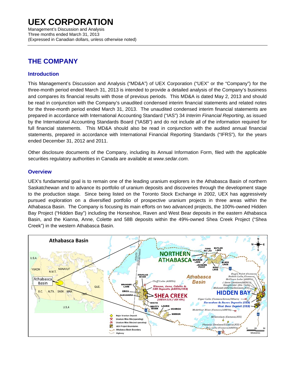Management's Discussion and Analysis Three months ended March 31, 2013 (Expressed in Canadian dollars, unless otherwise noted)

### **THE COMPANY**

### **Introduction**

This Management's Discussion and Analysis ("MD&A") of UEX Corporation ("UEX" or the "Company") for the three-month period ended March 31, 2013 is intended to provide a detailed analysis of the Company's business and compares its financial results with those of previous periods. This MD&A is dated May 2, 2013 and should be read in conjunction with the Company's unaudited condensed interim financial statements and related notes for the three-month period ended March 31, 2013. The unaudited condensed interim financial statements are prepared in accordance with International Accounting Standard ("IAS") 34 *Interim Financial Reporting*, as issued by the International Accounting Standards Board ("IASB") and do not include all of the information required for full financial statements. This MD&A should also be read in conjunction with the audited annual financial statements, prepared in accordance with International Financial Reporting Standards ("IFRS"), for the years ended December 31, 2012 and 2011.

Other disclosure documents of the Company, including its Annual Information Form, filed with the applicable securities regulatory authorities in Canada are available at *www.sedar.com*.

### **Overview**

UEX's fundamental goal is to remain one of the leading uranium explorers in the Athabasca Basin of northern Saskatchewan and to advance its portfolio of uranium deposits and discoveries through the development stage to the production stage. Since being listed on the Toronto Stock Exchange in 2002, UEX has aggressively pursued exploration on a diversified portfolio of prospective uranium projects in three areas within the Athabasca Basin. The Company is focusing its main efforts on two advanced projects, the 100%-owned Hidden Bay Project ("Hidden Bay") including the Horseshoe, Raven and West Bear deposits in the eastern Athabasca Basin, and the Kianna, Anne, Colette and 58B deposits within the 49%-owned Shea Creek Project ("Shea Creek") in the western Athabasca Basin.

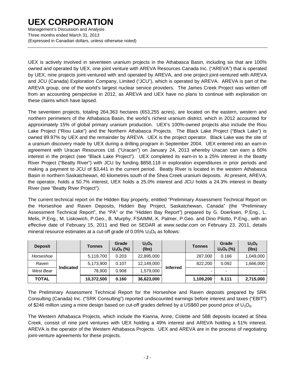Management's Discussion and Analysis Three months ended March 31, 2013 (Expressed in Canadian dollars, unless otherwise noted)

UEX is actively involved in seventeen uranium projects in the Athabasca Basin, including six that are 100% owned and operated by UEX, one joint venture with AREVA Resources Canada Inc. ("AREVA") that is operated by UEX, nine projects joint-ventured with and operated by AREVA, and one project joint-ventured with AREVA and JCU (Canada) Exploration Company, Limited ("JCU"), which is operated by AREVA. AREVA is part of the AREVA group, one of the world's largest nuclear service providers. The James Creek Project was written off from an accounting perspective in 2012, as AREVA and UEX have no plans to continue with exploration on these claims which have lapsed.

The seventeen projects, totaling 264,363 hectares (653,255 acres), are located on the eastern, western and northern perimeters of the Athabasca Basin, the world's richest uranium district, which in 2012 accounted for approximately 15% of global primary uranium production. UEX's 100%-owned projects also include the Riou Lake Project ("Riou Lake") and the Northern Athabasca Projects. The Black Lake Project ("Black Lake") is owned 89.97% by UEX and the remainder by AREVA. UEX is the project operator. Black Lake was the site of a uranium discovery made by UEX during a drilling program in September 2004. UEX entered into an earn-in agreement with Uracan Resources Ltd. ("Uracan") on January 24, 2013 whereby Uracan can earn a 60% interest in the project (see "Black Lake Project"). UEX completed its earn-in to a 25% interest in the Beatty River Project ("Beatty River") with JCU by funding \$858,118 in exploration expenditures in prior periods and making a payment to JCU of \$3,441 in the current period. Beatty River is located in the western Athabasca Basin in northern Saskatchewan, 40 kilometres south of the Shea Creek uranium deposits. At present, AREVA, the operator, holds a 50.7% interest, UEX holds a 25.0% interest and JCU holds a 24.3% interest in Beatty River (see "Beatty River Project").

The current technical report on the Hidden Bay property, entitled "Preliminary Assessment Technical Report on the Horseshoe and Raven Deposits, Hidden Bay Project, Saskatchewan, Canada" (the "Preliminary Assessment Technical Report", the "PA" or the "Hidden Bay Report") prepared by G. Doerksen, P.Eng., L. Melis, P.Eng., M. Liskowich, P.Geo., B. Murphy, FSAIMM, K. Palmer, P.Geo. and Dino Pilotto, P.Eng., with an effective date of February 15, 2011 and filed on SEDAR at *www.sedar.com* on February 23, 2011, details mineral resource estimates at a cut-off grade of  $0.05\%$  U<sub>3</sub>O<sub>8</sub> as follows:

| <b>Deposit</b> |                  | <b>Tonnes</b> | Grade<br>$U_3O_8$ (%) | $U_3O_8$<br>(lbs) |                 | <b>Tonnes</b> | Grade<br>$U_3O_8$ (%) | $U_3O_8$<br>(lbs) |
|----------------|------------------|---------------|-----------------------|-------------------|-----------------|---------------|-----------------------|-------------------|
| Horseshoe      |                  | 5,119,700     | 0.203                 | 22,895,000        |                 | 287,000       | 0.166                 | 1,049,000         |
| Raven          |                  | 5,173,900     | 0.107                 | 12,149,000        |                 | 822,200       | 0.092                 | 1,666,000         |
| West Bear      | <b>Indicated</b> | 78.900        | 0.908                 | 1,579,000         | <b>Inferred</b> | -             |                       |                   |
| <b>TOTAL</b>   |                  | 10,372,500    | 0.160                 | 36,623,000        |                 | 1,109,200     | 0.111                 | 2,715,000         |

The Preliminary Assessment Technical Report for the Horseshoe and Raven deposits prepared by SRK Consulting (Canada) Inc. ("SRK Consulting") reported undiscounted earnings before interest and taxes ("EBIT") of \$246 million using a mine design based on cut-off grades defined by a US\$60 per pound price of  $U_3O_8$ .

The Western Athabasca Projects, which include the Kianna, Anne, Colette and 58B deposits located at Shea Creek, consist of nine joint ventures with UEX holding a 49% interest and AREVA holding a 51% interest. AREVA is the operator of the Western Athabasca Projects. UEX and AREVA are in the process of negotiating joint-venture agreements for these projects.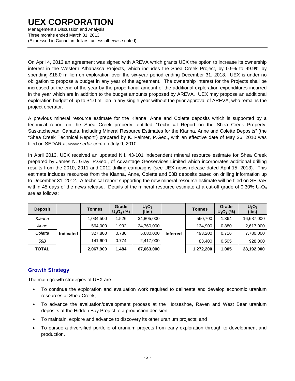Management's Discussion and Analysis Three months ended March 31, 2013 (Expressed in Canadian dollars, unless otherwise noted)

On April 4, 2013 an agreement was signed with AREVA which grants UEX the option to increase its ownership interest in the Western Athabasca Projects, which includes the Shea Creek Project, by 0.9% to 49.9% by spending \$18.0 million on exploration over the six-year period ending December 31, 2018. UEX is under no obligation to propose a budget in any year of the agreement. The ownership interest for the Projects shall be increased at the end of the year by the proportional amount of the additional exploration expenditures incurred in the year which are in addition to the budget amounts proposed by AREVA. UEX may propose an additional exploration budget of up to \$4.0 million in any single year without the prior approval of AREVA, who remains the project operator.

A previous mineral resource estimate for the Kianna, Anne and Colette deposits which is supported by a technical report on the Shea Creek property, entitled "Technical Report on the Shea Creek Property, Saskatchewan, Canada, Including Mineral Resource Estimates for the Kianna, Anne and Colette Deposits" (the "Shea Creek Technical Report") prepared by K. Palmer, P.Geo., with an effective date of May 26, 2010 was filed on SEDAR at *www.sedar.com* on July 9, 2010.

In April 2013, UEX received an updated N.I. 43-101 independent mineral resource estimate for Shea Creek prepared by James N. Gray, P.Geo., of Advantage Geoservices Limited which incorporates additional drilling results from the 2010, 2011 and 2012 drilling campaigns (see UEX news release dated April 15, 2013). This estimate includes resources from the Kianna, Anne, Colette and 58B deposits based on drilling information up to December 31, 2012. A technical report supporting the new mineral resource estimate will be filed on SEDAR within 45 days of the news release. Details of the mineral resource estimate at a cut-off grade of 0.30%  $U_3O_8$ are as follows:

| <b>Deposit</b> |                  | <b>Tonnes</b> | Grade<br>$U_3O_8$ (%) | $U_3O_8$<br>(lbs) |                 | <b>Tonnes</b> | Grade<br>$U_3O_8$ (%) | $U_3O_8$<br>(lbs) |
|----------------|------------------|---------------|-----------------------|-------------------|-----------------|---------------|-----------------------|-------------------|
| Kianna         |                  | 1,034,500     | 1.526                 | 34,805,000        |                 | 560,700       | 1.364                 | 16,687,000        |
| Anne           |                  | 564.000       | 1.992                 | 24,760,000        | <b>Inferred</b> | 134,900       | 0.880                 | 2,617,000         |
| Colette        | <b>Indicated</b> | 327,800       | 0.786                 | 5,680,000         |                 | 493.200       | 0.716                 | 7,780,000         |
| 58B            |                  | 141.600       | 0.774                 | 2,417,000         |                 | 83.400        | 0.505                 | 928,000           |
| <b>TOTAL</b>   |                  | 2,067,900     | 1.484                 | 67,663,000        |                 | 1,272,200     | 1.005                 | 28,192,000        |

### **Growth Strategy**

The main growth strategies of UEX are:

- To continue the exploration and evaluation work required to delineate and develop economic uranium resources at Shea Creek;
- To advance the evaluation/development process at the Horseshoe, Raven and West Bear uranium deposits at the Hidden Bay Project to a production decision;
- To maintain, explore and advance to discovery its other uranium projects; and
- To pursue a diversified portfolio of uranium projects from early exploration through to development and production.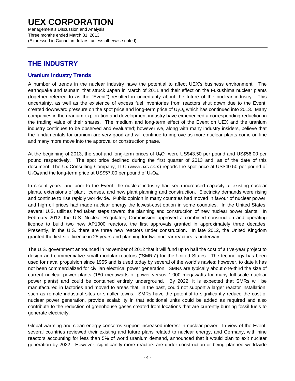Management's Discussion and Analysis Three months ended March 31, 2013 (Expressed in Canadian dollars, unless otherwise noted)

### **THE INDUSTRY**

### **Uranium Industry Trends**

A number of trends in the nuclear industry have the potential to affect UEX's business environment. The earthquake and tsunami that struck Japan in March of 2011 and their effect on the Fukushima nuclear plants (together referred to as the "Event'') resulted in uncertainty about the future of the nuclear industry. This uncertainty, as well as the existence of excess fuel inventories from reactors shut down due to the Event, created downward pressure on the spot price and long-term price of  $U_3O_8$  which has continued into 2013. Many companies in the uranium exploration and development industry have experienced a corresponding reduction in the trading value of their shares. The medium and long-term effect of the Event on UEX and the uranium industry continues to be observed and evaluated; however we, along with many industry insiders, believe that the fundamentals for uranium are very good and will continue to improve as more nuclear plants come on-line and many more move into the approval or construction phase.

At the beginning of 2013, the spot and long-term prices of  $U_3O_8$  were US\$43.50 per pound and US\$56.00 per pound respectively. The spot price declined during the first quarter of 2013 and, as of the date of this document, The Ux Consulting Company, LLC (*www.uxc.com*) reports the spot price at US\$40.50 per pound of  $U_3O_8$  and the long-term price at US\$57.00 per pound of  $U_3O_8$ .

In recent years, and prior to the Event, the nuclear industry had seen increased capacity at existing nuclear plants, extensions of plant licenses, and new plant planning and construction. Electricity demands were rising and continue to rise rapidly worldwide. Public opinion in many countries had moved in favour of nuclear power, and high oil prices had made nuclear energy the lowest-cost option in some countries. In the United States, several U.S. utilities had taken steps toward the planning and construction of new nuclear power plants. In February 2012, the U.S. Nuclear Regulatory Commission approved a combined construction and operating licence to build two new AP1000 reactors, the first approvals granted in approximately three decades. Presently, in the U.S. there are three new reactors under construction. In late 2012, the United Kingdom granted the first site licence in 25 years and planning for two nuclear reactors is underway.

The U.S. government announced in November of 2012 that it will fund up to half the cost of a five-year project to design and commercialize small modular reactors ("SMRs") for the United States. The technology has been used for naval propulsion since 1955 and is used today by several of the world's navies; however, to date it has not been commercialized for civilian electrical power generation. SMRs are typically about one-third the size of current nuclear power plants (180 megawatts of power versus 1,000 megawatts for many full-scale nuclear power plants) and could be contained entirely underground. By 2022, it is expected that SMRs will be manufactured in factories and moved to areas that, in the past, could not support a larger reactor installation, such as remote industrial sites or smaller towns. SMRs have the potential to significantly reduce the cost of nuclear power generation, provide scalability in that additional units could be added as required and also contribute to the reduction of greenhouse gases created from locations that are currently burning fossil fuels to generate electricity.

Global warming and clean energy concerns support increased interest in nuclear power. In view of the Event, several countries reviewed their existing and future plans related to nuclear energy, and Germany, with nine reactors accounting for less than 5% of world uranium demand, announced that it would plan to exit nuclear generation by 2022. However, significantly more reactors are under construction or being planned worldwide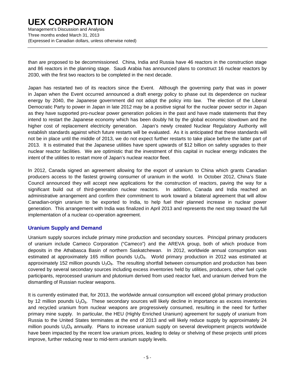Management's Discussion and Analysis Three months ended March 31, 2013 (Expressed in Canadian dollars, unless otherwise noted)

than are proposed to be decommissioned. China, India and Russia have 46 reactors in the construction stage and 86 reactors in the planning stage. Saudi Arabia has announced plans to construct 16 nuclear reactors by 2030, with the first two reactors to be completed in the next decade.

Japan has restarted two of its reactors since the Event. Although the governing party that was in power in Japan when the Event occurred announced a draft energy policy to phase out its dependence on nuclear energy by 2040, the Japanese government did not adopt the policy into law. The election of the Liberal Democratic Party to power in Japan in late 2012 may be a positive signal for the nuclear power sector in Japan as they have supported pro-nuclear power generation policies in the past and have made statements that they intend to restart the Japanese economy which has been doubly hit by the global economic slowdown and the higher cost of replacement electricity generation. Japan's newly created Nuclear Regulatory Authority will establish standards against which future restarts will be evaluated. As it is anticipated that these standards will not be in place until the middle of 2013, we do not expect further restarts to take place before the latter part of 2013. It is estimated that the Japanese utilities have spent upwards of \$12 billion on safety upgrades to their nuclear reactor facilities. We are optimistic that the investment of this capital in nuclear energy indicates the intent of the utilities to restart more of Japan's nuclear reactor fleet.

In 2012, Canada signed an agreement allowing for the export of uranium to China which grants Canadian producers access to the fastest growing consumer of uranium in the world. In October 2012, China's State Council announced they will accept new applications for the construction of reactors, paving the way for a significant build out of third-generation nuclear reactors. In addition, Canada and India reached an administrative arrangement and confirm their commitment to work toward a bilateral agreement that will allow Canadian-origin uranium to be exported to India, to help fuel their planned increase in nuclear power generation. This arrangement with India was finalized in April 2013 and represents the next step toward the full implementation of a nuclear co-operation agreement.

### **Uranium Supply and Demand**

Uranium supply sources include primary mine production and secondary sources. Principal primary producers of uranium include Cameco Corporation ("Cameco") and the AREVA group, both of which produce from deposits in the Athabasca Basin of northern Saskatchewan. In 2012, worldwide annual consumption was estimated at approximately 165 million pounds  $U_3O_8$ . World primary production in 2012 was estimated at approximately 152 million pounds  $U_3O_8$ . The resulting shortfall between consumption and production has been covered by several secondary sources including excess inventories held by utilities, producers, other fuel cycle participants, reprocessed uranium and plutonium derived from used reactor fuel, and uranium derived from the dismantling of Russian nuclear weapons.

It is currently estimated that, for 2013, the worldwide annual consumption will exceed global primary production by 12 million pounds  $U_3O_8$ . These secondary sources will likely decline in importance as excess inventories and recycled uranium from nuclear weapons are progressively consumed, resulting in the need for further primary mine supply. In particular, the HEU (Highly Enriched Uranium) agreement for supply of uranium from Russia to the United States terminates at the end of 2013 and will likely reduce supply by approximately 24 million pounds  $U_3O_8$  annually. Plans to increase uranium supply on several development projects worldwide have been impacted by the recent low uranium prices, leading to delay or shelving of these projects until prices improve, further reducing near to mid-term uranium supply levels.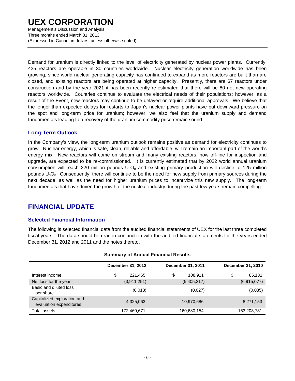Management's Discussion and Analysis Three months ended March 31, 2013 (Expressed in Canadian dollars, unless otherwise noted)

Demand for uranium is directly linked to the level of electricity generated by nuclear power plants. Currently, 435 reactors are operable in 30 countries worldwide. Nuclear electricity generation worldwide has been growing, since world nuclear generating capacity has continued to expand as more reactors are built than are closed, and existing reactors are being operated at higher capacity. Presently, there are 67 reactors under construction and by the year 2021 it has been recently re-estimated that there will be 80 net new operating reactors worldwide. Countries continue to evaluate the electrical needs of their populations; however, as a result of the Event, new reactors may continue to be delayed or require additional approvals. We believe that the longer than expected delays for restarts to Japan's nuclear power plants have put downward pressure on the spot and long-term price for uranium; however, we also feel that the uranium supply and demand fundamentals leading to a recovery of the uranium commodity price remain sound.

### **Long-Term Outlook**

In the Company's view, the long-term uranium outlook remains positive as demand for electricity continues to grow. Nuclear energy, which is safe, clean, reliable and affordable, will remain an important part of the world's energy mix. New reactors will come on stream and many existing reactors, now off-line for inspection and upgrade, are expected to be re-commissioned. It is currently estimated that by 2022 world annual uranium consumption will reach 220 million pounds  $U_3O_8$  and existing primary production will decline to 125 million pounds  $U_3O_8$ . Consequently, there will continue to be the need for new supply from primary sources during the next decade, as well as the need for higher uranium prices to incentivize this new supply. The long-term fundamentals that have driven the growth of the nuclear industry during the past few years remain compelling.

### **FINANCIAL UPDATE**

### **Selected Financial Information**

The following is selected financial data from the audited financial statements of UEX for the last three completed fiscal years. The data should be read in conjunction with the audited financial statements for the years ended December 31, 2012 and 2011 and the notes thereto.

|                                                        | December 31, 2012 | December 31, 2011 |                   |
|--------------------------------------------------------|-------------------|-------------------|-------------------|
|                                                        |                   |                   | December 31, 2010 |
| Interest income                                        | \$<br>221,465     | \$<br>108.911     | \$<br>85,131      |
| Net loss for the year                                  | (3,911,251)       | (5,405,217)       | (6,915,077)       |
| Basic and diluted loss<br>per share                    | (0.018)           | (0.027)           | (0.035)           |
| Capitalized exploration and<br>evaluation expenditures | 4,325,063         | 10,970,686        | 8,271,153         |
| Total assets                                           | 172,460,671       | 160,680,154       | 163,203,731       |

#### **Summary of Annual Financial Results**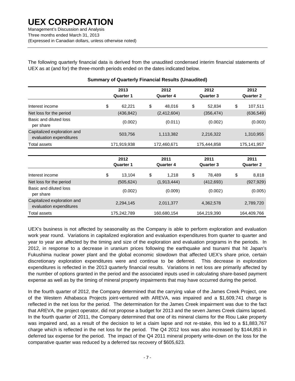(Expressed in Canadian dollars, unless otherwise noted)

The following quarterly financial data is derived from the unaudited condensed interim financial statements of UEX as at (and for) the three-month periods ended on the dates indicated below.

|                                                        | 2013<br><b>Quarter 1</b> |                          | 2012<br><b>Quarter 4</b> |                          | 2012<br><b>Quarter 3</b> |                          | 2012<br><b>Quarter 2</b> |
|--------------------------------------------------------|--------------------------|--------------------------|--------------------------|--------------------------|--------------------------|--------------------------|--------------------------|
| Interest income                                        | \$<br>62,221             | \$                       | 48,016                   | \$                       | 52,834                   | \$                       | 107,511                  |
| Net loss for the period                                | (436, 842)               |                          | (2,412,604)              |                          | (356, 474)               |                          | (636, 549)               |
| Basic and diluted loss<br>per share                    | (0.002)                  |                          | (0.011)                  |                          | (0.002)                  |                          | (0.003)                  |
| Capitalized exploration and<br>evaluation expenditures | 503,756                  |                          | 1,113,382                |                          | 2,216,322                |                          | 1,310,955                |
| Total assets                                           | 171,919,938              |                          | 172,460,671              |                          | 175,444,858              |                          | 175,141,957              |
|                                                        |                          |                          |                          |                          |                          |                          |                          |
|                                                        | 2012<br><b>Quarter 1</b> | 2011<br><b>Quarter 4</b> |                          | 2011<br><b>Quarter 3</b> |                          | 2011<br><b>Quarter 2</b> |                          |
| Interest income                                        | \$<br>13,104             | \$                       | 1,218                    | \$                       | 78,489                   | \$                       | 8,818                    |
| Net loss for the period                                | (505, 624)               |                          | (1,913,444)              |                          | (412, 693)               |                          | (927, 929)               |
| Basic and diluted loss<br>per share                    | (0.002)                  |                          | (0.009)                  |                          | (0.002)                  |                          | (0.005)                  |
| Capitalized exploration and<br>evaluation expenditures | 2,294,145                |                          | 2,011,377                |                          | 4,362,578                |                          | 2,789,720                |
| Total assets                                           | 175,242,789              |                          | 160,680,154              |                          | 164,219,390              |                          | 164,409,766              |

### **Summary of Quarterly Financial Results (Unaudited)**

UEX's business is not affected by seasonality as the Company is able to perform exploration and evaluation work year round. Variations in capitalized exploration and evaluation expenditures from quarter to quarter and year to year are affected by the timing and size of the exploration and evaluation programs in the periods. In 2012, in response to a decrease in uranium prices following the earthquake and tsunami that hit Japan's Fukushima nuclear power plant and the global economic slowdown that affected UEX's share price, certain discretionary exploration expenditures were and continue to be deferred. This decrease in exploration expenditures is reflected in the 2013 quarterly financial results. Variations in net loss are primarily affected by the number of options granted in the period and the associated inputs used in calculating share-based payment expense as well as by the timing of mineral property impairments that may have occurred during the period.

In the fourth quarter of 2012, the Company determined that the carrying value of the James Creek Project, one of the Western Athabasca Projects joint-ventured with AREVA, was impaired and a \$1,609,741 charge is reflected in the net loss for the period. The determination for the James Creek impairment was due to the fact that AREVA, the project operator, did not propose a budget for 2013 and the seven James Creek claims lapsed. In the fourth quarter of 2011, the Company determined that one of its mineral claims for the Riou Lake property was impaired and, as a result of the decision to let a claim lapse and not re-stake, this led to a \$1,883,767 charge which is reflected in the net loss for the period. The Q4 2012 loss was also increased by \$144,853 in deferred tax expense for the period. The impact of the Q4 2011 mineral property write-down on the loss for the comparative quarter was reduced by a deferred tax recovery of \$605,623.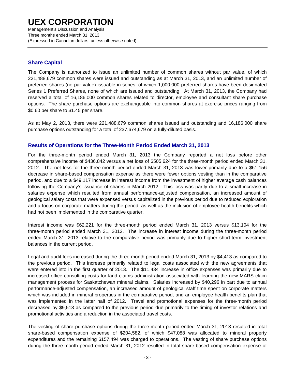Management's Discussion and Analysis Three months ended March 31, 2013 (Expressed in Canadian dollars, unless otherwise noted)

### **Share Capital**

The Company is authorized to issue an unlimited number of common shares without par value, of which 221,488,679 common shares were issued and outstanding as at March 31, 2013, and an unlimited number of preferred shares (no par value) issuable in series, of which 1,000,000 preferred shares have been designated Series 1 Preferred Shares, none of which are issued and outstanding. At March 31, 2013, the Company had reserved a total of 16,186,000 common shares related to director, employee and consultant share purchase options. The share purchase options are exchangeable into common shares at exercise prices ranging from \$0.60 per share to \$1.45 per share.

As at May 2, 2013, there were 221,488,679 common shares issued and outstanding and 16,186,000 share purchase options outstanding for a total of 237,674,679 on a fully-diluted basis.

### **Results of Operations for the Three-Month Period Ended March 31, 2013**

For the three-month period ended March 31, 2013 the Company reported a net loss before other comprehensive income of \$436,842 versus a net loss of \$505,624 for the three-month period ended March 31, 2012. The net loss for the three-month period ended March 31, 2013 was lower primarily due to a \$61,156 decrease in share-based compensation expense as there were fewer options vesting than in the comparative period, and due to a \$49,117 increase in interest income from the investment of higher average cash balances following the Company's issuance of shares in March 2012. This loss was partly due to a small increase in salaries expense which resulted from annual performance-adjusted compensation, an increased amount of geological salary costs that were expensed versus capitalized in the previous period due to reduced exploration and a focus on corporate matters during the period, as well as the inclusion of employee health benefits which had not been implemented in the comparative quarter.

Interest income was \$62,221 for the three-month period ended March 31, 2013 versus \$13,104 for the three-month period ended March 31, 2012. The increase in interest income during the three-month period ended March 31, 2013 relative to the comparative period was primarily due to higher short-term investment balances in the current period.

Legal and audit fees increased during the three-month period ended March 31, 2013 by \$4,413 as compared to the previous period. This increase primarily related to legal costs associated with the new agreements that were entered into in the first quarter of 2013. The \$11,434 increase in office expenses was primarily due to increased office consulting costs for land claims administration associated with learning the new MARS claim management process for Saskatchewan mineral claims. Salaries increased by \$40,296 in part due to annual performance-adjusted compensation, an increased amount of geological staff time spent on corporate matters which was included in mineral properties in the comparative period, and an employee health benefits plan that was implemented in the latter half of 2012. Travel and promotional expenses for the three-month period decreased by \$9,513 as compared to the previous period due primarily to the timing of investor relations and promotional activities and a reduction in the associated travel costs.

The vesting of share purchase options during the three-month period ended March 31, 2013 resulted in total share-based compensation expense of \$204,582, of which \$47,088 was allocated to mineral property expenditures and the remaining \$157,494 was charged to operations. The vesting of share purchase options during the three-month period ended March 31, 2012 resulted in total share-based compensation expense of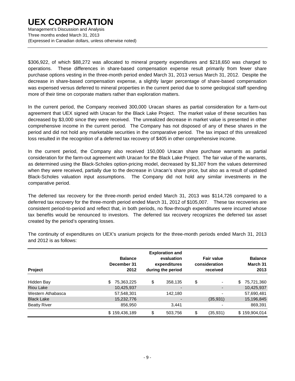Management's Discussion and Analysis Three months ended March 31, 2013 (Expressed in Canadian dollars, unless otherwise noted)

\$306,922, of which \$88,272 was allocated to mineral property expenditures and \$218,650 was charged to operations. These differences in share-based compensation expense result primarily from fewer share purchase options vesting in the three-month period ended March 31, 2013 versus March 31, 2012. Despite the decrease in share-based compensation expense, a slightly larger percentage of share-based compensation was expensed versus deferred to mineral properties in the current period due to some geological staff spending more of their time on corporate matters rather than exploration matters.

In the current period, the Company received 300,000 Uracan shares as partial consideration for a farm-out agreement that UEX signed with Uracan for the Black Lake Project. The market value of these securities has decreased by \$3,000 since they were received. The unrealized decrease in market value is presented in other comprehensive income in the current period. The Company has not disposed of any of these shares in the period and did not hold any marketable securities in the comparative period. The tax impact of this unrealized loss resulted in the recognition of a deferred tax recovery of \$405 in other comprehensive income.

In the current period, the Company also received 150,000 Uracan share purchase warrants as partial consideration for the farm-out agreement with Uracan for the Black Lake Project. The fair value of the warrants, as determined using the Black-Scholes option-pricing model, decreased by \$1,307 from the values determined when they were received, partially due to the decrease in Uracan's share price, but also as a result of updated Black-Scholes valuation input assumptions. The Company did not hold any similar investments in the comparative period.

The deferred tax recovery for the three-month period ended March 31, 2013 was \$114,726 compared to a deferred tax recovery for the three-month period ended March 31, 2012 of \$105,007. These tax recoveries are consistent period-to-period and reflect that, in both periods, no flow-through expenditures were incurred whose tax benefits would be renounced to investors. The deferred tax recovery recognizes the deferred tax asset created by the period's operating losses.

| Project             | <b>Balance</b><br>December 31<br>2012 | <b>Exploration and</b><br>evaluation<br>expenditures<br>during the period | <b>Fair value</b><br>consideration<br>received | <b>Balance</b><br>March 31<br>2013 |
|---------------------|---------------------------------------|---------------------------------------------------------------------------|------------------------------------------------|------------------------------------|
| Hidden Bay          | \$<br>75,363,225                      | \$<br>358,135                                                             | \$<br>۰                                        | \$<br>75,721,360                   |
| Riou Lake           | 10,425,937                            |                                                                           | $\overline{\phantom{0}}$                       | 10,425,937                         |
| Western Athabasca   | 57,548,301                            | 142.180                                                                   | ٠                                              | 57,690,481                         |
| <b>Black Lake</b>   | 15,232,776                            |                                                                           | (35, 931)                                      | 15,196,845                         |
| <b>Beatty River</b> | 856,950                               | 3,441                                                                     | ۰                                              | 869,391                            |
|                     | \$159,436,189                         | \$<br>503,756                                                             | \$<br>(35, 931)                                | \$159,904,014                      |

The continuity of expenditures on UEX's uranium projects for the three-month periods ended March 31, 2013 and 2012 is as follows: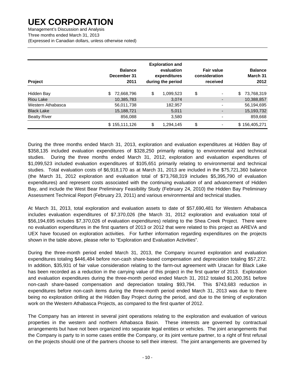Management's Discussion and Analysis Three months ended March 31, 2013 (Expressed in Canadian dollars, unless otherwise noted)

| Project             | <b>Balance</b><br>December 31<br>2011 | <b>Exploration and</b><br>evaluation<br>expenditures<br>during the period |           | <b>Fair value</b><br>consideration<br>received |                          | <b>Balance</b><br>March 31<br>2012 |               |
|---------------------|---------------------------------------|---------------------------------------------------------------------------|-----------|------------------------------------------------|--------------------------|------------------------------------|---------------|
| Hidden Bay          | \$<br>72,668,796                      | \$                                                                        | 1,099,523 | \$                                             | $\overline{\phantom{a}}$ | \$                                 | 73,768,319    |
| <b>Riou Lake</b>    | 10,385,783                            |                                                                           | 3,074     |                                                | $\overline{\phantom{a}}$ |                                    | 10,388,857    |
| Western Athabasca   | 56,011,738                            |                                                                           | 182,957   |                                                | ۰                        |                                    | 56,194,695    |
| <b>Black Lake</b>   | 15,188,721                            |                                                                           | 5,011     |                                                | $\overline{\phantom{a}}$ |                                    | 15,193,732    |
| <b>Beatty River</b> | 856,088                               |                                                                           | 3,580     |                                                | ٠                        |                                    | 859,668       |
|                     | \$155,111,126                         | \$                                                                        | 1,294,145 | \$                                             | ۰                        |                                    | \$156,405,271 |

During the three months ended March 31, 2013, exploration and evaluation expenditures at Hidden Bay of \$358,135 included evaluation expenditures of \$328,250 primarily relating to environmental and technical studies. During the three months ended March 31, 2012, exploration and evaluation expenditures of \$1,099,523 included evaluation expenditures of \$105,651 primarily relating to environmental and technical studies. Total evaluation costs of \$6,918,170 as at March 31, 2013 are included in the \$75,721,360 balance (the March 31, 2012 exploration and evaluation total of \$73,768,319 includes \$5,395,790 of evaluation expenditures) and represent costs associated with the continuing evaluation of and advancement of Hidden Bay, and include the West Bear Preliminary Feasibility Study (February 24, 2010) the Hidden Bay Preliminary Assessment Technical Report (February 23, 2011) and various environmental and technical studies.

At March 31, 2013, total exploration and evaluation assets to date of \$57,690,481 for Western Athabasca includes evaluation expenditures of \$7,370,026 (the March 31, 2012 exploration and evaluation total of \$56,194,695 includes \$7,370,026 of evaluation expenditures) relating to the Shea Creek Project. There were no evaluation expenditures in the first quarters of 2013 or 2012 that were related to this project as AREVA and UEX have focused on exploration activities. For further information regarding expenditures on the projects shown in the table above, please refer to "Exploration and Evaluation Activities".

During the three-month period ended March 31, 2013, the Company incurred exploration and evaluation expenditures totaling \$446,484 before non-cash share-based compensation and depreciation totaling \$57,272. In addition, \$35,931 of fair value consideration relating to the farm-out agreement with Uracan for Black Lake has been recorded as a reduction in the carrying value of this project in the first quarter of 2013. Exploration and evaluation expenditures during the three-month period ended March 31, 2012 totaled \$1,200,351 before non-cash share-based compensation and depreciation totaling \$93,794. This \$743,683 reduction in expenditures before non-cash items during the three-month period ended March 31, 2013 was due to there being no exploration drilling at the Hidden Bay Project during the period, and due to the timing of exploration work on the Western Athabasca Projects, as compared to the first quarter of 2012.

The Company has an interest in several joint operations relating to the exploration and evaluation of various properties in the western and northern Athabasca Basin. These interests are governed by contractual arrangements but have not been organized into separate legal entities or vehicles. The joint arrangements that the Company is party to in some cases entitle the Company, or its joint venture partner, to a right of first refusal on the projects should one of the partners choose to sell their interest. The joint arrangements are governed by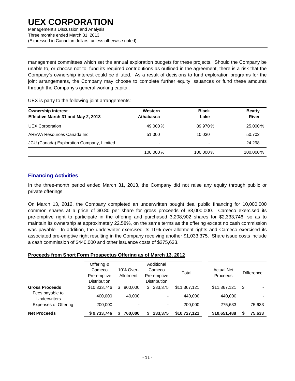Management's Discussion and Analysis Three months ended March 31, 2013 (Expressed in Canadian dollars, unless otherwise noted)

management committees which set the annual exploration budgets for these projects. Should the Company be unable to, or choose not to, fund its required contributions as outlined in the agreement, there is a risk that the Company's ownership interest could be diluted. As a result of decisions to fund exploration programs for the joint arrangements, the Company may choose to complete further equity issuances or fund these amounts through the Company's general working capital.

UEX is party to the following joint arrangements:

| <b>Ownership interest</b><br>Effective March 31 and May 2, 2013 | Western<br>Athabasca | <b>Black</b><br>Lake | <b>Beatty</b><br><b>River</b> |
|-----------------------------------------------------------------|----------------------|----------------------|-------------------------------|
| <b>UEX Corporation</b>                                          | 49.000%              | 89.970%              | 25.000%                       |
| AREVA Resources Canada Inc.                                     | 51.000               | 10.030               | 50.702                        |
| JCU (Canada) Exploration Company, Limited                       | -                    | ٠                    | 24.298                        |
|                                                                 | 100.000%             | 100.000%             | 100.000%                      |

### **Financing Activities**

In the three-month period ended March 31, 2013, the Company did not raise any equity through public or private offerings.

On March 13, 2012, the Company completed an underwritten bought deal public financing for 10,000,000 common shares at a price of \$0.80 per share for gross proceeds of \$8,000,000. Cameco exercised its pre-emptive right to participate in the offering and purchased 3,208,902 shares for \$2,333,746, so as to maintain its ownership at approximately 22.58%, on the same terms as the offering except no cash commission was payable. In addition, the underwriter exercised its 10% over-allotment rights and Cameco exercised its associated pre-emptive right resulting in the Company receiving another \$1,033,375. Share issue costs include a cash commission of \$440,000 and other issuance costs of \$275,633.

#### **Proceeds from Short Form Prospectus Offering as of March 13, 2012**

|                                        | Offering &<br>Cameco<br>Pre-emptive<br><b>Distribution</b> | 10% Over-<br>Allotment   | Additional<br>Cameco<br>Pre-emptive<br><b>Distribution</b> | Total        | <b>Actual Net</b><br><b>Proceeds</b> | Difference |
|----------------------------------------|------------------------------------------------------------|--------------------------|------------------------------------------------------------|--------------|--------------------------------------|------------|
| <b>Gross Proceeds</b>                  | \$10,333,746                                               | 800.000<br>\$            | 233.375<br>S.                                              | \$11,367,121 | \$11,367,121                         | \$         |
| Fees payable to<br><b>Underwriters</b> | 400.000                                                    | 40.000                   | ۰                                                          | 440.000      | 440,000                              |            |
| <b>Expenses of Offering</b>            | 200,000                                                    | $\overline{\phantom{a}}$ | ۰                                                          | 200,000      | 275,633                              | 75,633     |
| <b>Net Proceeds</b>                    | \$9,733,746                                                | 760.000                  | 233.375<br>S                                               | \$10,727,121 | \$10,651,488                         | 75,633     |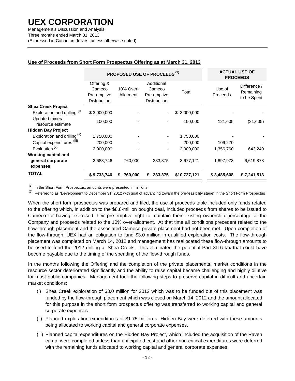Management's Discussion and Analysis Three months ended March 31, 2013 (Expressed in Canadian dollars, unless otherwise noted)

|                                          |                                                            |                        | <b>PROPOSED USE OF PROCEEDS (1)</b>                        |              |                    | <b>ACTUAL USE OF</b><br><b>PROCEEDS</b>  |
|------------------------------------------|------------------------------------------------------------|------------------------|------------------------------------------------------------|--------------|--------------------|------------------------------------------|
|                                          | Offering &<br>Cameco<br>Pre-emptive<br><b>Distribution</b> | 10% Over-<br>Allotment | Additional<br>Cameco<br>Pre-emptive<br><b>Distribution</b> | Total        | Use of<br>Proceeds | Difference /<br>Remaining<br>to be Spent |
| <b>Shea Creek Project</b>                |                                                            |                        |                                                            |              |                    |                                          |
| Exploration and drilling <sup>(i)</sup>  | \$3,000,000                                                |                        |                                                            | \$3,000,000  |                    |                                          |
| Updated mineral<br>resource estimate     | 100,000                                                    |                        |                                                            | 100,000      | 121,605            | (21,605)                                 |
| <b>Hidden Bay Project</b>                |                                                            |                        |                                                            |              |                    |                                          |
| Exploration and drilling <sup>(ii)</sup> | 1,750,000                                                  |                        |                                                            | 1,750,000    |                    |                                          |
| Capital expenditures <sup>(iii)</sup>    | 200,000                                                    |                        |                                                            | 200,000      | 109,270            |                                          |
| Evaluation <sup>(2)</sup>                | 2,000,000                                                  |                        |                                                            | 2,000,000    | 1,356,760          | 643,240                                  |
| Working capital and                      |                                                            |                        |                                                            |              |                    |                                          |
| general corporate<br>expenses            | 2,683,746                                                  | 760,000                | 233,375                                                    | 3,677,121    | 1,897,973          | 6,619,878                                |
| <b>TOTAL</b>                             | \$9,733,746                                                | 760,000<br>S           | 233,375                                                    | \$10,727,121 | \$3,485,608        | \$7,241,513                              |

### **Use of Proceeds from Short Form Prospectus Offering as at March 31, 2013**

 $(1)$  In the Short Form Prospectus, amounts were presented in millions

 $(2)$  Referred to as "Development to December 31, 2012 with goal of advancing toward the pre-feasibility stage" in the Short Form Prospectus

When the short form prospectus was prepared and filed, the use of proceeds table included only funds related to the offering which, in addition to the \$8.8-million bought deal, included proceeds from shares to be issued to Cameco for having exercised their pre-emptive right to maintain their existing ownership percentage of the Company and proceeds related to the 10% over-allotment. At that time all conditions precedent related to the flow-through placement and the associated Cameco private placement had not been met. Upon completion of the flow-through, UEX had an obligation to fund \$3.0 million in qualified exploration costs. The flow-through placement was completed on March 14, 2012 and management has reallocated these flow-through amounts to be used to fund the 2012 drilling at Shea Creek. This eliminated the potential Part XII.6 tax that could have become payable due to the timing of the spending of the flow-through funds.

In the months following the Offering and the completion of the private placements, market conditions in the resource sector deteriorated significantly and the ability to raise capital became challenging and highly dilutive for most public companies. Management took the following steps to preserve capital in difficult and uncertain market conditions:

- (i) Shea Creek exploration of \$3.0 million for 2012 which was to be funded out of this placement was funded by the flow-through placement which was closed on March 14, 2012 and the amount allocated for this purpose in the short form prospectus offering was transferred to working capital and general corporate expenses.
- (ii) Planned exploration expenditures of \$1.75 million at Hidden Bay were deferred with these amounts being allocated to working capital and general corporate expenses.
- (iii) Planned capital expenditures on the Hidden Bay Project, which included the acquisition of the Raven camp, were completed at less than anticipated cost and other non-critical expenditures were deferred with the remaining funds allocated to working capital and general corporate expenses.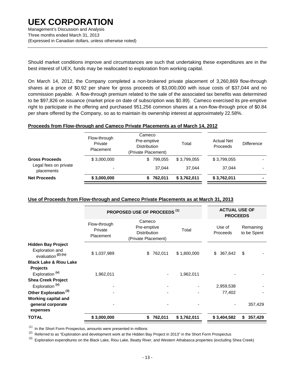(Expressed in Canadian dollars, unless otherwise noted)

Should market conditions improve and circumstances are such that undertaking these expenditures are in the best interest of UEX, funds may be reallocated to exploration from working capital.

On March 14, 2012, the Company completed a non-brokered private placement of 3,260,869 flow-through shares at a price of \$0.92 per share for gross proceeds of \$3,000,000 with issue costs of \$37,044 and no commission payable. A flow-through premium related to the sale of the associated tax benefits was determined to be \$97,826 on issuance (market price on date of subscription was \$0.89). Cameco exercised its pre-emptive right to participate in the offering and purchased 951,256 common shares at a non-flow-through price of \$0.84 per share offered by the Company, so as to maintain its ownership interest at approximately 22.58%.

#### **Proceeds from Flow-through and Cameco Private Placements as of March 14, 2012**

|                                     | Flow-through<br>Private<br>Placement | Cameco<br>Pre-emptive<br><b>Distribution</b><br>(Private Placement) | Total       | <b>Actual Net</b><br>Proceeds | <b>Difference</b> |  |
|-------------------------------------|--------------------------------------|---------------------------------------------------------------------|-------------|-------------------------------|-------------------|--|
| <b>Gross Proceeds</b>               | \$3,000,000                          | 799.055<br>S                                                        | \$3.799.055 | \$3,799,055                   |                   |  |
| Legal fees on private<br>placements | $\overline{\phantom{0}}$             | 37.044                                                              | 37.044      | 37.044                        |                   |  |
| <b>Net Proceeds</b>                 | \$3,000,000                          | 762,011                                                             | \$3,762,011 | \$3,762,011                   |                   |  |
|                                     |                                      |                                                                     |             |                               |                   |  |

#### **Use of Proceeds from Flow-through and Cameco Private Placements as at March 31, 2013**

|                                                                                             |                                      | PROPOSED USE OF PROCEEDS <sup>(1)</sup>                             |             | <b>ACTUAL USE OF</b><br><b>PROCEEDS</b> |                          |  |
|---------------------------------------------------------------------------------------------|--------------------------------------|---------------------------------------------------------------------|-------------|-----------------------------------------|--------------------------|--|
|                                                                                             | Flow-through<br>Private<br>Placement | Cameco<br>Pre-emptive<br><b>Distribution</b><br>(Private Placement) | Total       | Use of<br>Proceeds                      | Remaining<br>to be Spent |  |
| <b>Hidden Bay Project</b><br>Exploration and<br>evaluation <sup>(2)(iv)</sup>               | \$1,037,989                          | 762,011<br>\$                                                       | \$1,800,000 | 367,642<br>\$                           | \$                       |  |
| <b>Black Lake &amp; Riou Lake</b><br><b>Projects</b><br>Exploration <sup>(v)</sup>          | 1,962,011                            |                                                                     | 1,962,011   |                                         |                          |  |
| <b>Shea Creek Project</b><br>Exploration <sup>(v)</sup><br>Other Exploration <sup>(3)</sup> |                                      |                                                                     |             | 2,959,538<br>77,402                     |                          |  |
| <b>Working capital and</b><br>general corporate<br>expenses                                 |                                      |                                                                     |             |                                         | 357,429                  |  |
| <b>TOTAL</b>                                                                                | \$3,000,000                          | 762,011<br>\$                                                       | \$3,762,011 | \$3,404,582                             | \$<br>357,429            |  |

 $(1)$  In the Short Form Prospectus, amounts were presented in millions

 $(2)$  Referred to as "Exploration and development work at the Hidden Bay Project in 2013" in the Short Form Prospectus

<sup>(3)</sup> Exploration expenditures on the Black Lake, Riou Lake, Beatty River, and Western Athabasca properties (excluding Shea Creek)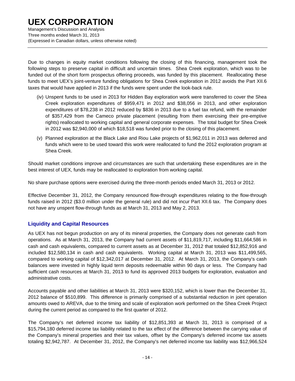Management's Discussion and Analysis Three months ended March 31, 2013 (Expressed in Canadian dollars, unless otherwise noted)

Due to changes in equity market conditions following the closing of this financing, management took the following steps to preserve capital in difficult and uncertain times. Shea Creek exploration, which was to be funded out of the short form prospectus offering proceeds, was funded by this placement. Reallocating these funds to meet UEX's joint-venture funding obligations for Shea Creek exploration in 2012 avoids the Part XII.6 taxes that would have applied in 2013 if the funds were spent under the look-back rule.

- (iv) Unspent funds to be used in 2013 for Hidden Bay exploration work were transferred to cover the Shea Creek exploration expenditures of \$959,471 in 2012 and \$38,056 in 2013, and other exploration expenditures of \$78,238 in 2012 reduced by \$836 in 2013 due to a fuel tax refund, with the remainder of \$357,429 from the Cameco private placement (resulting from them exercising their pre-emptive rights) reallocated to working capital and general corporate expenses. The total budget for Shea Creek in 2012 was \$2,940,000 of which \$18,518 was funded prior to the closing of this placement.
- (v) Planned exploration at the Black Lake and Riou Lake projects of \$1,962,011 in 2013 was deferred and funds which were to be used toward this work were reallocated to fund the 2012 exploration program at Shea Creek.

Should market conditions improve and circumstances are such that undertaking these expenditures are in the best interest of UEX, funds may be reallocated to exploration from working capital.

No share purchase options were exercised during the three-month periods ended March 31, 2013 or 2012.

Effective December 31, 2012, the Company renounced flow-through expenditures relating to the flow-through funds raised in 2012 (\$3.0 million under the general rule) and did not incur Part XII.6 tax. The Company does not have any unspent flow-through funds as at March 31, 2013 and May 2, 2013.

### **Liquidity and Capital Resources**

As UEX has not begun production on any of its mineral properties, the Company does not generate cash from operations. As at March 31, 2013, the Company had current assets of \$11,819,717, including \$11,664,586 in cash and cash equivalents, compared to current assets as at December 31, 2012 that totaled \$12,852,916 and included \$12,580,134 in cash and cash equivalents. Working capital at March 31, 2013 was \$11,499,565, compared to working capital of \$12,342,017 at December 31, 2012. At March 31, 2013, the Company's cash balances were invested in highly liquid term deposits redeemable within 90 days or less. The Company had sufficient cash resources at March 31, 2013 to fund its approved 2013 budgets for exploration, evaluation and administrative costs.

Accounts payable and other liabilities at March 31, 2013 were \$320,152, which is lower than the December 31, 2012 balance of \$510,899. This difference is primarily comprised of a substantial reduction in joint operation amounts owed to AREVA, due to the timing and scale of exploration work performed on the Shea Creek Project during the current period as compared to the first quarter of 2012.

The Company's net deferred income tax liability of \$12,851,393 at March 31, 2013 is comprised of a \$15,794,180 deferred income tax liability related to the tax effect of the difference between the carrying value of the Company's mineral properties and their tax values, offset by the Company's deferred income tax assets totaling \$2,942,787. At December 31, 2012, the Company's net deferred income tax liability was \$12,966,524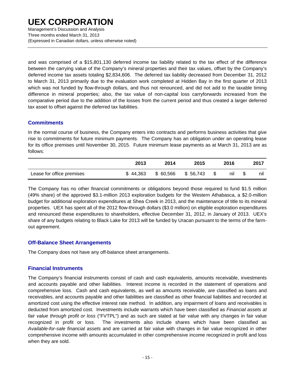Management's Discussion and Analysis Three months ended March 31, 2013 (Expressed in Canadian dollars, unless otherwise noted)

and was comprised of a \$15,801,130 deferred income tax liability related to the tax effect of the difference between the carrying value of the Company's mineral properties and their tax values, offset by the Company's deferred income tax assets totaling \$2,834,606. The deferred tax liability decreased from December 31, 2012 to March 31, 2013 primarily due to the evaluation work completed at Hidden Bay in the first quarter of 2013 which was not funded by flow-through dollars, and thus not renounced, and did not add to the taxable timing difference in mineral properties; also, the tax value of non-capital loss carryforwards increased from the comparative period due to the addition of the losses from the current period and thus created a larger deferred tax asset to offset against the deferred tax liabilities.

### **Commitments**

In the normal course of business, the Company enters into contracts and performs business activities that give rise to commitments for future minimum payments. The Company has an obligation under an operating lease for its office premises until November 30, 2015. Future minimum lease payments as at March 31, 2013 are as follows:

|                           | 2013     | 2014     | 2015     | 2016      | 2017 |
|---------------------------|----------|----------|----------|-----------|------|
| Lease for office premises | \$44,363 | \$60.566 | \$56,743 | \$<br>nil | nıl  |

The Company has no other financial commitments or obligations beyond those required to fund \$1.5 million (49% share) of the approved \$3.1-million 2013 exploration budgets for the Western Athabasca, a \$2.0-million budget for additional exploration expenditures at Shea Creek in 2013, and the maintenance of title to its mineral properties. UEX has spent all of the 2012 flow-through dollars (\$3.0 million) on eligible exploration expenditures and renounced these expenditures to shareholders, effective December 31, 2012, in January of 2013. UEX's share of any budgets relating to Black Lake for 2013 will be funded by Uracan pursuant to the terms of the farmout agreement.

### **Off-Balance Sheet Arrangements**

The Company does not have any off-balance sheet arrangements.

### **Financial Instruments**

The Company's financial instruments consist of cash and cash equivalents, amounts receivable, investments and accounts payable and other liabilities. Interest income is recorded in the statement of operations and comprehensive loss. Cash and cash equivalents, as well as amounts receivable, are classified as loans and receivables, and accounts payable and other liabilities are classified as other financial liabilities and recorded at amortized cost using the effective interest rate method. In addition, any impairment of loans and receivables is deducted from amortized cost. Investments include warrants which have been classified as *Financial assets at fair value through profit or loss* ("FVTPL") and as such are stated at fair value with any changes in fair value recognized in profit or loss. The investments also include shares which have been classified as *Available-for-sale financial assets* and are carried at fair value with changes in fair value recognized in other comprehensive income with amounts accumulated in other comprehensive income recognized in profit and loss when they are sold.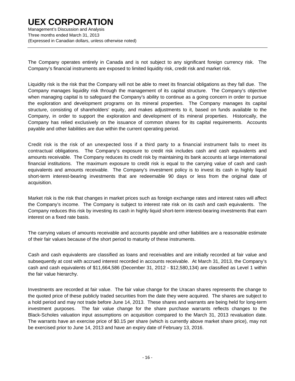Management's Discussion and Analysis Three months ended March 31, 2013 (Expressed in Canadian dollars, unless otherwise noted)

The Company operates entirely in Canada and is not subject to any significant foreign currency risk. The Company's financial instruments are exposed to limited liquidity risk, credit risk and market risk.

Liquidity risk is the risk that the Company will not be able to meet its financial obligations as they fall due. The Company manages liquidity risk through the management of its capital structure. The Company's objective when managing capital is to safeguard the Company's ability to continue as a going concern in order to pursue the exploration and development programs on its mineral properties. The Company manages its capital structure, consisting of shareholders' equity, and makes adjustments to it, based on funds available to the Company, in order to support the exploration and development of its mineral properties. Historically, the Company has relied exclusively on the issuance of common shares for its capital requirements. Accounts payable and other liabilities are due within the current operating period.

Credit risk is the risk of an unexpected loss if a third party to a financial instrument fails to meet its contractual obligations. The Company's exposure to credit risk includes cash and cash equivalents and amounts receivable. The Company reduces its credit risk by maintaining its bank accounts at large international financial institutions. The maximum exposure to credit risk is equal to the carrying value of cash and cash equivalents and amounts receivable. The Company's investment policy is to invest its cash in highly liquid short-term interest-bearing investments that are redeemable 90 days or less from the original date of acquisition.

Market risk is the risk that changes in market prices such as foreign exchange rates and interest rates will affect the Company's income. The Company is subject to interest rate risk on its cash and cash equivalents. The Company reduces this risk by investing its cash in highly liquid short-term interest-bearing investments that earn interest on a fixed rate basis.

The carrying values of amounts receivable and accounts payable and other liabilities are a reasonable estimate of their fair values because of the short period to maturity of these instruments.

Cash and cash equivalents are classified as loans and receivables and are initially recorded at fair value and subsequently at cost with accrued interest recorded in accounts receivable. At March 31, 2013, the Company's cash and cash equivalents of \$11,664,586 (December 31, 2012 - \$12,580,134) are classified as Level 1 within the fair value hierarchy.

Investments are recorded at fair value. The fair value change for the Uracan shares represents the change to the quoted price of these publicly traded securities from the date they were acquired. The shares are subject to a hold period and may not trade before June 14, 2013. These shares and warrants are being held for long-term investment purposes. The fair value change for the share purchase warrants reflects changes to the Black-Scholes valuation input assumptions on acquisition compared to the March 31, 2013 revaluation date. The warrants have an exercise price of \$0.15 per share (which is currently above market share price), may not be exercised prior to June 14, 2013 and have an expiry date of February 13, 2016.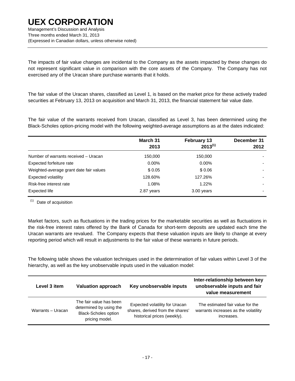Management's Discussion and Analysis Three months ended March 31, 2013 (Expressed in Canadian dollars, unless otherwise noted)

The impacts of fair value changes are incidental to the Company as the assets impacted by these changes do not represent significant value in comparison with the core assets of the Company. The Company has not exercised any of the Uracan share purchase warrants that it holds.

The fair value of the Uracan shares, classified as Level 1, is based on the market price for these actively traded securities at February 13, 2013 on acquisition and March 31, 2013, the financial statement fair value date.

The fair value of the warrants received from Uracan, classified as Level 3, has been determined using the Black-Scholes option-pricing model with the following weighted-average assumptions as at the dates indicated:

|                                         | March 31<br>2013 | <b>February 13</b><br>$2013^{(1)}$ | December 31<br>2012 |
|-----------------------------------------|------------------|------------------------------------|---------------------|
| Number of warrants received - Uracan    | 150,000          | 150,000                            |                     |
| Expected forfeiture rate                | $0.00\%$         | $0.00\%$                           |                     |
| Weighted-average grant date fair values | \$0.05           | \$0.06                             |                     |
| <b>Expected volatility</b>              | 128.60%          | 127.26%                            |                     |
| Risk-free interest rate                 | 1.08%            | 1.22%                              |                     |
| Expected life                           | 2.87 years       | 3.00 years                         |                     |

 $(1)$  Date of acquisition

Market factors, such as fluctuations in the trading prices for the marketable securities as well as fluctuations in the risk-free interest rates offered by the Bank of Canada for short-term deposits are updated each time the Uracan warrants are revalued. The Company expects that these valuation inputs are likely to change at every reporting period which will result in adjustments to the fair value of these warrants in future periods.

The following table shows the valuation techniques used in the determination of fair values within Level 3 of the hierarchy, as well as the key unobservable inputs used in the valuation model:

| Level 3 item      | <b>Valuation approach</b>                                                                           | Key unobservable inputs                                                                           | Inter-relationship between key<br>unobservable inputs and fair<br>value measurement    |
|-------------------|-----------------------------------------------------------------------------------------------------|---------------------------------------------------------------------------------------------------|----------------------------------------------------------------------------------------|
| Warrants - Uracan | The fair value has been<br>determined by using the<br><b>Black-Scholes option</b><br>pricing model. | Expected volatility for Uracan<br>shares, derived from the shares'<br>historical prices (weekly). | The estimated fair value for the<br>warrants increases as the volatility<br>increases. |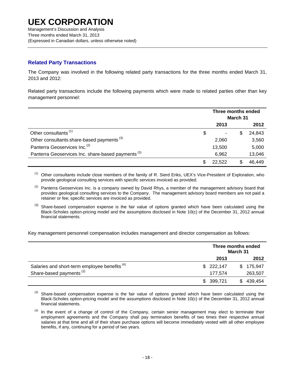Management's Discussion and Analysis Three months ended March 31, 2013 (Expressed in Canadian dollars, unless otherwise noted)

### **Related Party Transactions**

The Company was involved in the following related party transactions for the three months ended March 31, 2013 and 2012:

Related party transactions include the following payments which were made to related parties other than key management personnel:

|                                                               | Three months ended<br>March 31 |        |    |        |
|---------------------------------------------------------------|--------------------------------|--------|----|--------|
|                                                               |                                | 2013   |    | 2012   |
| Other consultants <sup>(1)</sup>                              | \$                             | ٠      | \$ | 24,843 |
| Other consultants share-based payments <sup>(3)</sup>         |                                | 2,060  |    | 3,560  |
| Panterra Geoservices Inc. <sup>(2)</sup>                      |                                | 13,500 |    | 5,000  |
| Panterra Geoservices Inc. share-based payments <sup>(3)</sup> |                                | 6,962  |    | 13,046 |
|                                                               |                                | 22.522 |    | 46,449 |

<sup>(1)</sup> Other consultants include close members of the family of R. Sierd Eriks, UEX's Vice-President of Exploration, who provide geological consulting services with specific services invoiced as provided.

<sup>(2)</sup> Panterra Geoservices Inc. is a company owned by David Rhys, a member of the management advisory board that provides geological consulting services to the Company. The management advisory board members are not paid a retainer or fee; specific services are invoiced as provided.

 $^{(3)}$  Share-based compensation expense is the fair value of options granted which have been calculated using the Black-Scholes option-pricing model and the assumptions disclosed in Note 10(c) of the December 31, 2012 annual financial statements.

Key management personnel compensation includes management and director compensation as follows:

|                                                          | Three months ended<br>March 31 |     |         |
|----------------------------------------------------------|--------------------------------|-----|---------|
|                                                          | 2013                           |     | 2012    |
| Salaries and short-term employee benefits <sup>(4)</sup> | \$222,147                      | \$. | 175,947 |
| Share-based payments <sup>(3)</sup>                      | 177.574                        |     | 263,507 |
|                                                          | \$399,721                      | \$. | 439,454 |

(3) Share-based compensation expense is the fair value of options granted which have been calculated using the Black-Scholes option-pricing model and the assumptions disclosed in Note 10(c) of the December 31, 2012 annual financial statements.

In the event of a change of control of the Company, certain senior management may elect to terminate their employment agreements and the Company shall pay termination benefits of two times their respective annual salaries at that time and all of their share purchase options will become immediately vested with all other employee benefits, if any, continuing for a period of two years.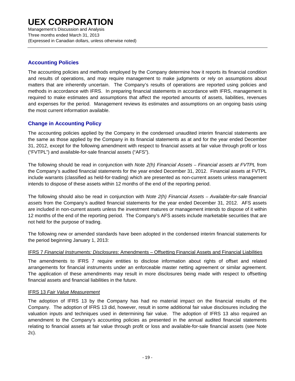Management's Discussion and Analysis Three months ended March 31, 2013 (Expressed in Canadian dollars, unless otherwise noted)

### **Accounting Policies**

The accounting policies and methods employed by the Company determine how it reports its financial condition and results of operations, and may require management to make judgments or rely on assumptions about matters that are inherently uncertain. The Company's results of operations are reported using policies and methods in accordance with IFRS. In preparing financial statements in accordance with IFRS, management is required to make estimates and assumptions that affect the reported amounts of assets, liabilities, revenues and expenses for the period. Management reviews its estimates and assumptions on an ongoing basis using the most current information available.

### **Change in Accounting Policy**

The accounting policies applied by the Company in the condensed unaudited interim financial statements are the same as those applied by the Company in its financial statements as at and for the year ended December 31, 2012, except for the following amendment with respect to financial assets at fair value through profit or loss ("FVTPL") and available-for-sale financial assets ("AFS").

The following should be read in conjunction with *Note 2(h) Financial Assets – Financial assets at FVTPL* from the Company's audited financial statements for the year ended December 31, 2012. Financial assets at FVTPL include warrants (classified as held-for-trading) which are presented as non-current assets unless management intends to dispose of these assets within 12 months of the end of the reporting period.

The following should also be read in conjunction with *Note 2(h) Financial Assets – Available-for-sale financial assets* from the Company's audited financial statements for the year ended December 31, 2012. AFS assets are included in non-current assets unless the investment matures or management intends to dispose of it within 12 months of the end of the reporting period. The Company's AFS assets include marketable securities that are not held for the purpose of trading.

The following new or amended standards have been adopted in the condensed interim financial statements for the period beginning January 1, 2013:

#### IFRS 7 *Financial Instruments: Disclosures*: Amendments – Offsetting Financial Assets and Financial Liabilities

The amendments to IFRS 7 require entities to disclose information about rights of offset and related arrangements for financial instruments under an enforceable master netting agreement or similar agreement. The application of these amendments may result in more disclosures being made with respect to offsetting financial assets and financial liabilities in the future.

#### IFRS 13 *Fair Value Measurement*

The adoption of IFRS 13 by the Company has had no material impact on the financial results of the Company. The adoption of IFRS 13 did, however, result in some additional fair value disclosures including the valuation inputs and techniques used in determining fair value. The adoption of IFRS 13 also required an amendment to the Company's accounting policies as presented in the annual audited financial statements relating to financial assets at fair value through profit or loss and available-for-sale financial assets (see Note 2c).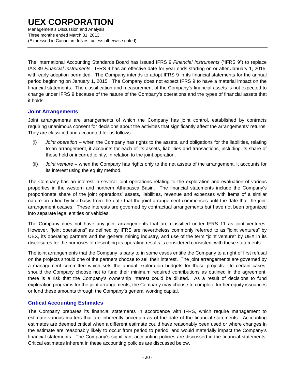Management's Discussion and Analysis Three months ended March 31, 2013 (Expressed in Canadian dollars, unless otherwise noted)

The International Accounting Standards Board has issued IFRS 9 *Financial Instruments* ("IFRS 9") to replace IAS 39 *Financial Instruments*. IFRS 9 has an effective date for year ends starting on or after January 1, 2015, with early adoption permitted. The Company intends to adopt IFRS 9 in its financial statements for the annual period beginning on January 1, 2015. The Company does not expect IFRS 9 to have a material impact on the financial statements. The classification and measurement of the Company's financial assets is not expected to change under IFRS 9 because of the nature of the Company's operations and the types of financial assets that it holds.

### **Joint Arrangements**

Joint arrangements are arrangements of which the Company has joint control, established by contracts requiring unanimous consent for decisions about the activities that significantly affect the arrangements' returns. They are classified and accounted for as follows:

- (i) *Joint operation* when the Company has rights to the assets, and obligations for the liabilities, relating to an arrangement, it accounts for each of its assets, liabilities and transactions, including its share of those held or incurred jointly, in relation to the joint operation.
- (ii) *Joint venture* when the Company has rights only to the net assets of the arrangement, it accounts for its interest using the equity method.

The Company has an interest in several joint operations relating to the exploration and evaluation of various properties in the western and northern Athabasca Basin. The financial statements include the Company's proportionate share of the joint operations' assets, liabilities, revenue and expenses with items of a similar nature on a line-by-line basis from the date that the joint arrangement commences until the date that the joint arrangement ceases. These interests are governed by contractual arrangements but have not been organized into separate legal entities or vehicles.

The Company does not have any joint arrangements that are classified under IFRS 11 as joint ventures. However, "joint operations" as defined by IFRS are nevertheless commonly referred to as "joint ventures" by UEX, its operating partners and the general mining industry, and use of the term "joint venture" by UEX in its disclosures for the purposes of describing its operating results is considered consistent with these statements.

The joint arrangements that the Company is party to in some cases entitle the Company to a right of first refusal on the projects should one of the partners choose to sell their interest. The joint arrangements are governed by a management committee which sets the annual exploration budgets for these projects. In certain cases, should the Company choose not to fund their minimum required contributions as outlined in the agreement, there is a risk that the Company's ownership interest could be diluted. As a result of decisions to fund exploration programs for the joint arrangements, the Company may choose to complete further equity issuances or fund these amounts through the Company's general working capital.

### **Critical Accounting Estimates**

The Company prepares its financial statements in accordance with IFRS, which require management to estimate various matters that are inherently uncertain as of the date of the financial statements. Accounting estimates are deemed critical when a different estimate could have reasonably been used or where changes in the estimate are reasonably likely to occur from period to period, and would materially impact the Company's financial statements. The Company's significant accounting policies are discussed in the financial statements. Critical estimates inherent in these accounting policies are discussed below.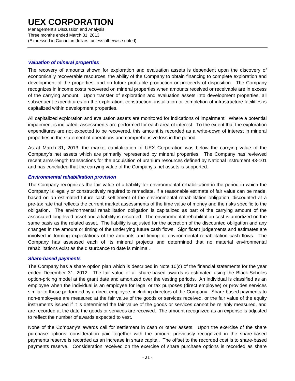Management's Discussion and Analysis Three months ended March 31, 2013 (Expressed in Canadian dollars, unless otherwise noted)

### *Valuation of mineral properties*

The recovery of amounts shown for exploration and evaluation assets is dependent upon the discovery of economically recoverable resources, the ability of the Company to obtain financing to complete exploration and development of the properties, and on future profitable production or proceeds of disposition. The Company recognizes in income costs recovered on mineral properties when amounts received or receivable are in excess of the carrying amount. Upon transfer of exploration and evaluation assets into development properties, all subsequent expenditures on the exploration, construction, installation or completion of infrastructure facilities is capitalized within development properties.

All capitalized exploration and evaluation assets are monitored for indications of impairment. Where a potential impairment is indicated, assessments are performed for each area of interest. To the extent that the exploration expenditures are not expected to be recovered, this amount is recorded as a write-down of interest in mineral properties in the statement of operations and comprehensive loss in the period.

As at March 31, 2013, the market capitalization of UEX Corporation was below the carrying value of the Company's net assets which are primarily represented by mineral properties. The Company has reviewed recent arms-length transactions for the acquisition of uranium resources defined by National Instrument 43-101 and has concluded that the carrying value of the Company's net assets is supported.

### *Environmental rehabilitation provision*

The Company recognizes the fair value of a liability for environmental rehabilitation in the period in which the Company is legally or constructively required to remediate, if a reasonable estimate of fair value can be made, based on an estimated future cash settlement of the environmental rehabilitation obligation, discounted at a pre-tax rate that reflects the current market assessments of the time value of money and the risks specific to the obligation. The environmental rehabilitation obligation is capitalized as part of the carrying amount of the associated long-lived asset and a liability is recorded. The environmental rehabilitation cost is amortized on the same basis as the related asset. The liability is adjusted for the accretion of the discounted obligation and any changes in the amount or timing of the underlying future cash flows. Significant judgements and estimates are involved in forming expectations of the amounts and timing of environmental rehabilitation cash flows. The Company has assessed each of its mineral projects and determined that no material environmental rehabilitations exist as the disturbance to date is minimal.

#### *Share-based payments*

The Company has a share option plan which is described in Note 10(c) of the financial statements for the year ended December 31, 2012. The fair value of all share-based awards is estimated using the Black-Scholes option-pricing model at the grant date and amortized over the vesting periods. An individual is classified as an employee when the individual is an employee for legal or tax purposes (direct employee) or provides services similar to those performed by a direct employee, including directors of the Company. Share-based payments to non-employees are measured at the fair value of the goods or services received, or the fair value of the equity instruments issued if it is determined the fair value of the goods or services cannot be reliably measured, and are recorded at the date the goods or services are received. The amount recognized as an expense is adjusted to reflect the number of awards expected to vest.

None of the Company's awards call for settlement in cash or other assets. Upon the exercise of the share purchase options, consideration paid together with the amount previously recognized in the share-based payments reserve is recorded as an increase in share capital. The offset to the recorded cost is to share-based payments reserve. Consideration received on the exercise of share purchase options is recorded as share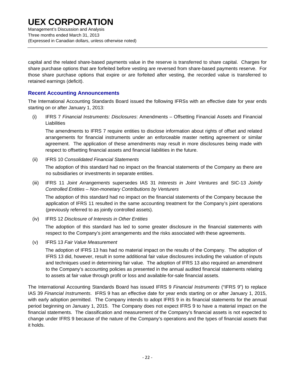Management's Discussion and Analysis Three months ended March 31, 2013 (Expressed in Canadian dollars, unless otherwise noted)

capital and the related share-based payments value in the reserve is transferred to share capital. Charges for share purchase options that are forfeited before vesting are reversed from share-based payments reserve. For those share purchase options that expire or are forfeited after vesting, the recorded value is transferred to retained earnings (deficit).

### **Recent Accounting Announcements**

The International Accounting Standards Board issued the following IFRSs with an effective date for year ends starting on or after January 1, 2013:

(i) IFRS 7 *Financial Instruments: Disclosures*: Amendments – Offsetting Financial Assets and Financial **Liabilities** 

The amendments to IFRS 7 require entities to disclose information about rights of offset and related arrangements for financial instruments under an enforceable master netting agreement or similar agreement. The application of these amendments may result in more disclosures being made with respect to offsetting financial assets and financial liabilities in the future.

(ii) IFRS 10 *Consolidated Financial Statements*

 The adoption of this standard had no impact on the financial statements of the Company as there are no subsidiaries or investments in separate entities.

(iii) IFRS 11 *Joint Arrangements* supersedes IAS 31 *Interests in Joint Ventures* and SIC-13 *Jointly Controlled Entities – Non-monetary Contributions by Venturers*

 The adoption of this standard had no impact on the financial statements of the Company because the application of IFRS 11 resulted in the same accounting treatment for the Company's joint operations (previously referred to as jointly controlled assets).

(iv) IFRS 12 *Disclosure of Interests in Other Entities*

 The adoption of this standard has led to some greater disclosure in the financial statements with respect to the Company's joint arrangements and the risks associated with these agreements.

(v) IFRS 13 *Fair Value Measurement* 

 The adoption of IFRS 13 has had no material impact on the results of the Company. The adoption of IFRS 13 did, however, result in some additional fair value disclosures including the valuation of inputs and techniques used in determining fair value. The adoption of IFRS 13 also required an amendment to the Company's accounting policies as presented in the annual audited financial statements relating to assets at fair value through profit or loss and available-for-sale financial assets.

The International Accounting Standards Board has issued IFRS 9 *Financial Instruments* ("IFRS 9") to replace IAS 39 *Financial Instruments*. IFRS 9 has an effective date for year ends starting on or after January 1, 2015, with early adoption permitted. The Company intends to adopt IFRS 9 in its financial statements for the annual period beginning on January 1, 2015. The Company does not expect IFRS 9 to have a material impact on the financial statements. The classification and measurement of the Company's financial assets is not expected to change under IFRS 9 because of the nature of the Company's operations and the types of financial assets that it holds.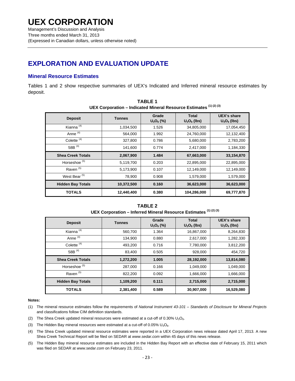### **EXPLORATION AND EVALUATION UPDATE**

### **Mineral Resource Estimates**

Tables 1 and 2 show respective summaries of UEX's Indicated and Inferred mineral resource estimates by deposit.

| <b>Deposit</b>           | Tonnes     | Grade<br>$U_3O_8$ (%) | <b>Total</b><br>$U_3O_8$ (lbs) | <b>UEX's share</b><br>$U_3O_8$ (lbs) |
|--------------------------|------------|-----------------------|--------------------------------|--------------------------------------|
| Kianna <sup>(4)</sup>    | 1,034,500  | 1.526                 | 34,805,000                     | 17,054,450                           |
| Anne <sup>(4)</sup>      | 564,000    | 1.992                 | 24,760,000                     | 12,132,400                           |
| Colette <sup>(4)</sup>   | 327,800    | 0.786                 | 5,680,000                      | 2,783,200                            |
| 58B <sup>(4)</sup>       | 141,600    | 0.774                 | 2,417,000                      | 1,184,330                            |
| <b>Shea Creek Totals</b> | 2,067,900  | 1.484                 | 67,663,000                     | 33,154,870                           |
| Horseshoe <sup>(5)</sup> | 5,119,700  | 0.203                 | 22,895,000                     | 22,895,000                           |
| Raven <sup>(5)</sup>     | 5,173,900  | 0.107                 | 12,149,000                     | 12,149,000                           |
| West Bear <sup>(5)</sup> | 78,900     | 0.908                 | 1,579,000                      | 1,579,000                            |
| <b>Hidden Bay Totals</b> | 10,372,500 | 0.160                 | 36,623,000                     | 36,623,000                           |
| <b>TOTALS</b>            | 12,440,400 | 0.380                 | 104,286,000                    | 69,777,870                           |

**TABLE 1 UEX Corporation – Indicated Mineral Resource Estimates (1) (2) (3)**

**TABLE 2 UEX Corporation – Inferred Mineral Resource Estimates (1) (2) (3)**

| <b>Deposit</b>           | <b>Tonnes</b> | Grade<br>$U_3O_8$ (%) | <b>Total</b><br>$U_3O_8$ (lbs) | <b>UEX's share</b><br>$U_3O_8$ (lbs) |
|--------------------------|---------------|-----------------------|--------------------------------|--------------------------------------|
| Kianna <sup>(4)</sup>    | 560,700       | 1.364                 | 16,867,000                     | 8,264,830                            |
| Anne <sup>(4)</sup>      | 134,900       | 0.880                 | 2,617,000                      | 1,282,330                            |
| Colette <sup>(4)</sup>   | 493,200       | 0.716                 | 7,780,000                      | 3,812,200                            |
| 58B <sup>(4)</sup>       | 83,400        | 0.505                 | 928,000                        | 454,720                              |
| <b>Shea Creek Totals</b> | 1,272,200     | 1.005                 | 28,192,000                     | 13,814,080                           |
| Horseshoe <sup>(5)</sup> | 287,000       | 0.166                 | 1,049,000                      | 1,049,000                            |
| Raven <sup>(5)</sup>     | 822,200       | 0.092                 | 1,666,000                      | 1,666,000                            |
| <b>Hidden Bay Totals</b> | 1,109,200     | 0.111                 | 2,715,000                      | 2,715,000                            |
| <b>TOTALS</b>            | 2,381,400     | 0.589                 | 30,907,000                     | 16,529,080                           |

#### **Notes:**

- (1) The mineral resource estimates follow the requirements of *National Instrument 43-101 Standards of Disclosure for Mineral Projects* and classifications follow CIM definition standards.
- (2) The Shea Creek updated mineral resources were estimated at a cut-off of  $0.30\%$  U<sub>3</sub>O<sub>8</sub>.
- (3) The Hidden Bay mineral resources were estimated at a cut-off of 0.05%  $U_3O_8$ .
- (4) The Shea Creek updated mineral resource estimates were reported in a UEX Corporation news release dated April 17, 2013. A new Shea Creek Technical Report will be filed on SEDAR at *www.sedar.com* within 45 days of this news release.
- (5) The Hidden Bay mineral resource estimates are included in the Hidden Bay Report with an effective date of February 15, 2011 which was filed on SEDAR at *www.sedar.com* on February 23, 2011.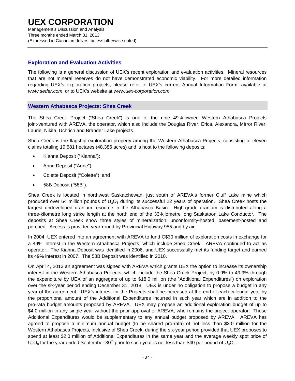Management's Discussion and Analysis Three months ended March 31, 2013 (Expressed in Canadian dollars, unless otherwise noted)

### **Exploration and Evaluation Activities**

The following is a general discussion of UEX's recent exploration and evaluation activities. Mineral resources that are not mineral reserves do not have demonstrated economic viability. For more detailed information regarding UEX's exploration projects, please refer to UEX's current Annual Information Form, available at *www.sedar.com*, or to UEX's website at *www.uex-corporation.com*.

### **Western Athabasca Projects: Shea Creek**

The Shea Creek Project ("Shea Creek") is one of the nine 49%-owned Western Athabasca Projects joint-ventured with AREVA, the operator, which also include the Douglas River, Erica, Alexandra, Mirror River, Laurie, Nikita, Uchrich and Brander Lake projects.

Shea Creek is the flagship exploration property among the Western Athabasca Projects, consisting of eleven claims totaling 19,581 hectares (48,386 acres) and is host to the following deposits:

- Kianna Deposit ("Kianna");
- Anne Deposit ("Anne");
- Colette Deposit ("Colette"); and
- 58B Deposit ("58B").

Shea Creek is located in northwest Saskatchewan, just south of AREVA's former Cluff Lake mine which produced over 64 million pounds of  $U_3O_8$  during its successful 22 years of operation. Shea Creek hosts the largest undeveloped uranium resource in the Athabasca Basin. High-grade uranium is distributed along a three-kilometre long strike length at the north end of the 33-kilometre long Saskatoon Lake Conductor. The deposits at Shea Creek show three styles of mineralization: unconformity-hosted, basement-hosted and perched. Access is provided year-round by Provincial Highway 955 and by air.

In 2004, UEX entered into an agreement with AREVA to fund C\$30 million of exploration costs in exchange for a 49% interest in the Western Athabasca Projects, which include Shea Creek. AREVA continued to act as operator. The Kianna Deposit was identified in 2006, and UEX successfully met its funding target and earned its 49% interest in 2007. The 58B Deposit was identified in 2010.

On April 4, 2013 an agreement was signed with AREVA which grants UEX the option to increase its ownership interest in the Western Athabasca Projects, which include the Shea Creek Project, by 0.9% to 49.9% through the expenditure by UEX of an aggregate of up to \$18.0 million (the "Additional Expenditures") on exploration over the six-year period ending December 31, 2018. UEX is under no obligation to propose a budget in any year of the agreement. UEX's interest for the Projects shall be increased at the end of each calendar year by the proportional amount of the Additional Expenditures incurred in such year which are in addition to the pro-rata budget amounts proposed by AREVA. UEX may propose an additional exploration budget of up to \$4.0 million in any single year without the prior approval of AREVA, who remains the project operator. These Additional Expenditures would be supplementary to any annual budget proposed by AREVA. AREVA has agreed to propose a minimum annual budget (to be shared pro-rata) of not less than \$2.0 million for the Western Athabasca Projects, inclusive of Shea Creek, during the six-year period provided that UEX proposes to spend at least \$2.0 million of Additional Expenditures in the same year and the average weekly spot price of  $U_3O_8$  for the year ended September 30<sup>th</sup> prior to such year is not less than \$40 per pound of  $U_3O_8$ .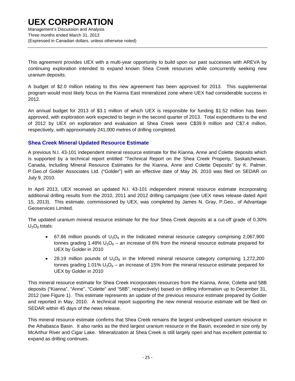This agreement provides UEX with a multi-year opportunity to build upon our past successes with AREVA by continuing exploration intended to expand known Shea Creek resources while concurrently seeking new uranium deposits.

A budget of \$2.0 million relating to this new agreement has been approved for 2013. This supplemental program would most likely focus on the Kianna East mineralized zone where UEX had considerable success in 2012.

An annual budget for 2013 of \$3.1 million of which UEX is responsible for funding \$1.52 million has been approved, with exploration work expected to begin in the second quarter of 2013. Total expenditures to the end of 2012 by UEX on exploration and evaluation at Shea Creek were C\$39.9 million and C\$7.4 million, respectively, with approximately 241,000 metres of drilling completed.

### **Shea Creek Mineral Updated Resource Estimate**

A previous N.I. 43-101 independent mineral resource estimate for the Kianna, Anne and Colette deposits which is supported by a technical report entitled "Technical Report on the Shea Creek Property, Saskatchewan, Canada, Including Mineral Resource Estimates for the Kianna, Anne and Colette Deposits" by K. Palmer, P.Geo.of Golder Associates Ltd. ("Golder") with an effective date of May 26, 2010 was filed on SEDAR on July 9, 2010.

In April 2013, UEX received an updated N.I. 43-101 independent mineral resource estimate incorporating additional drilling results from the 2010, 2011 and 2012 drilling campaigns (see UEX news release dated April 15, 2013). This estimate, commissioned by UEX, was completed by James N. Gray, P.Geo., of Advantage Geoservices Limited.

The updated uranium mineral resource estimate for the four Shea Creek deposits at a cut-off grade of 0.30%  $U_3O_8$  totals:

- 67.66 million pounds of  $U_3O_8$  in the Indicated mineral resource category comprising 2,067,900 tonnes grading 1.48%  $U_3O_8$  – an increase of 6% from the mineral resource estimate prepared for UEX by Golder in 2010
- 28.19 million pounds of  $U_3O_8$  in the Inferred mineral resource category comprising 1,272,200 tonnes grading 1.01%  $U_3O_8$  – an increase of 15% from the mineral resource estimate prepared for UEX by Golder in 2010

This mineral resource estimate for Shea Creek incorporates resources from the Kianna, Anne, Colette and 58B deposits ("Kianna", "Anne", "Colette" and "58B", respectively) based on drilling information up to December 31, 2012 (see Figure 1). This estimate represents an update of the previous resource estimate prepared by Golder and reported in May, 2010. A technical report supporting the new mineral resource estimate will be filed on SEDAR within 45 days of the news release.

This mineral resource estimate confirms that Shea Creek remains the largest undeveloped uranium resource in the Athabasca Basin. It also ranks as the third largest uranium resource in the Basin, exceeded in size only by McArthur River and Cigar Lake. Mineralization at Shea Creek is still largely open and has excellent potential to expand as drilling continues.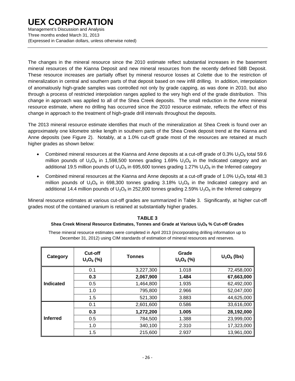Management's Discussion and Analysis Three months ended March 31, 2013 (Expressed in Canadian dollars, unless otherwise noted)

The changes in the mineral resource since the 2010 estimate reflect substantial increases in the basement mineral resources of the Kianna Deposit and new mineral resources from the recently defined 58B Deposit. These resource increases are partially offset by mineral resource losses at Colette due to the restriction of mineralization in central and southern parts of that deposit based on new infill drilling. In addition, interpolation of anomalously high-grade samples was controlled not only by grade capping, as was done in 2010, but also through a process of restricted interpolation ranges applied to the very high end of the grade distribution. This change in approach was applied to all of the Shea Creek deposits. The small reduction in the Anne mineral resource estimate, where no drilling has occurred since the 2010 resource estimate, reflects the effect of this change in approach to the treatment of high-grade drill intervals throughout the deposits.

The 2013 mineral resource estimate identifies that much of the mineralization at Shea Creek is found over an approximately one kilometre strike length in southern parts of the Shea Creek deposit trend at the Kianna and Anne deposits (see Figure 2). Notably, at a 1.0% cut-off grade most of the resources are retained at much higher grades as shown below:

- Combined mineral resources at the Kianna and Anne deposits at a cut-off grade of 0.3%  $U_3O_8$  total 59.6 million pounds of  $U_3O_8$  in 1,598,500 tonnes grading 1.69%  $U_3O_8$  in the Indicated category and an additional 19.5 million pounds of  $U_3O_8$  in 695,600 tonnes grading 1.27%  $U_3O_8$  in the Inferred category
- Combined mineral resources at the Kianna and Anne deposits at a cut-off grade of 1.0%  $U_3O_8$  total 48.3 million pounds of  $U_3O_8$  in 698,300 tonnes grading 3.18%  $U_3O_8$  in the Indicated category and an additional 14.4 million pounds of  $U_3O_8$  in 252,800 tonnes grading 2.59%  $U_3O_8$  in the Inferred category

Mineral resource estimates at various cut-off grades are summarized in Table 3. Significantly, at higher cut-off grades most of the contained uranium is retained at substantially higher grades.

#### **TABLE 3**

#### **Shea Creek Mineral Resource Estimates, Tonnes and Grade at Various U3O8 % Cut-off Grades**

These mineral resource estimates were completed in April 2013 (incorporating drilling information up to December 31, 2012) using CIM standards of estimation of mineral resources and reserves.

| Category        | Cut-off<br>$U_3O_8$ (%) | <b>Tonnes</b> | Grade<br>$U_3O_8$ (%) | $U_3O_8$ (lbs) |  |
|-----------------|-------------------------|---------------|-----------------------|----------------|--|
|                 | 0.1                     | 3,227,300     | 1.018                 | 72,458,000     |  |
|                 | 0.3                     | 2,067,900     | 1.484                 | 67,663,000     |  |
| Indicated       | 0.5                     | 1,464,800     | 1.935                 | 62,492,000     |  |
|                 | 1.0                     | 795,800       | 2.966                 | 52,047,000     |  |
|                 | 1.5                     | 521,300       | 3.883                 | 44,625,000     |  |
|                 | 0.1                     | 2,601,600     | 0.586                 | 33,616,000     |  |
| <b>Inferred</b> | 0.3                     | 1,272,200     | 1.005                 | 28,192,000     |  |
|                 | 0.5                     | 784,500       | 1.388                 | 23,999,000     |  |
|                 | 1.0                     | 340,100       | 2.310                 | 17,323,000     |  |
|                 | 1.5                     | 215,600       | 2.937                 | 13,961,000     |  |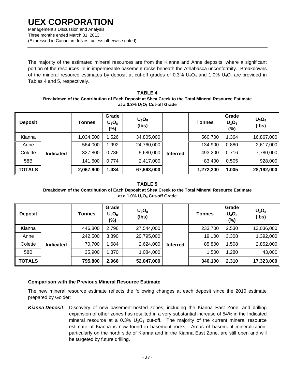Management's Discussion and Analysis Three months ended March 31, 2013 (Expressed in Canadian dollars, unless otherwise noted)

The majority of the estimated mineral resources are from the Kianna and Anne deposits, where a significant portion of the resources lie in impermeable basement rocks beneath the Athabasca unconformity. Breakdowns of the mineral resource estimates by deposit at cut-off grades of 0.3%  $U_3O_8$  and 1.0%  $U_3O_8$  are provided in Tables 4 and 5, respectively.

**TABLE 4 Breakdown of the Contribution of Each Deposit at Shea Creek to the Total Mineral Resource Estimate at a 0.3% U3O8 Cut-off Grade**

| <b>Deposit</b> |                  | <b>Tonnes</b> | Grade<br>$U_3O_8$<br>(%) | $U_3O_8$<br>(lbs) |                 | <b>Tonnes</b> | Grade<br>$U_3O_8$<br>(%) | $U_3O_8$<br>(Ibs) |
|----------------|------------------|---------------|--------------------------|-------------------|-----------------|---------------|--------------------------|-------------------|
| Kianna         |                  | 1,034,500     | 1.526                    | 34,805,000        |                 | 560,700       | 1.364                    | 16,867,000        |
| Anne           |                  | 564,000       | .992                     | 24,760,000        |                 | 134,900       | 0.880                    | 2,617,000         |
| Colette        | <b>Indicated</b> | 327,800       | 0.786                    | 5,680,000         | <b>Inferred</b> | 493,200       | 0.716                    | 7,780,000         |
| 58B            |                  | 141,600       | 0.774                    | 2,417,000         |                 | 83,400        | 0.505                    | 928,000           |
| <b>TOTALS</b>  |                  | 2,067,900     | 1.484                    | 67,663,000        |                 | 1,272,200     | 1.005                    | 28,192,000        |

#### **TABLE 5**

**Breakdown of the Contribution of Each Deposit at Shea Creek to the Total Mineral Resource Estimate at a 1.0% U3O8 Cut-off Grade**

| <b>Deposit</b> |                  | <b>Tonnes</b> | Grade<br>$U_3O_8$<br>(%) | $U_3O_8$<br>(Ibs) |                 | <b>Tonnes</b> | Grade<br>$U_3O_8$<br>(%) | $U_3O_8$<br>(Ibs) |
|----------------|------------------|---------------|--------------------------|-------------------|-----------------|---------------|--------------------------|-------------------|
| Kianna         |                  | 446,800       | 2.796                    | 27,544,000        |                 | 233,700       | 2.530                    | 13,036,000        |
| Anne           |                  | 242,500       | 3.890                    | 20,795,000        |                 | 19,100        | 3.308                    | 1,392,000         |
| Colette        | <b>Indicated</b> | 70,700        | .684                     | 2,624,000         | <b>Inferred</b> | 85,800        | .508                     | 2,852,000         |
| 58B            |                  | 35,900        | 1.370                    | 1,084,000         |                 | 1,500         | 1.280                    | 43,000            |
| <b>TOTALS</b>  |                  | 795,800       | 2.966                    | 52,047,000        |                 | 340,100       | 2.310                    | 17,323,000        |

#### **Comparison with the Previous Mineral Resource Estimate**

The new mineral resource estimate reflects the following changes at each deposit since the 2010 estimate prepared by Golder:

*Kianna Deposit***:** Discovery of new basement-hosted zones, including the Kianna East Zone, and drilling expansion of other zones has resulted in a very substantial increase of 54% in the Indicated mineral resource at a 0.3%  $U_3O_8$  cut-off. The majority of the current mineral resource estimate at Kianna is now found in basement rocks. Areas of basement mineralization, particularly on the north side of Kianna and in the Kianna East Zone, are still open and will be targeted by future drilling.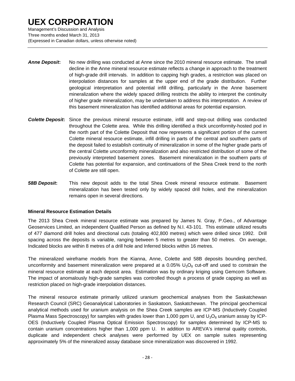Management's Discussion and Analysis Three months ended March 31, 2013 (Expressed in Canadian dollars, unless otherwise noted)

- *Anne Deposit***:** No new drilling was conducted at Anne since the 2010 mineral resource estimate. The small decline in the Anne mineral resource estimate reflects a change in approach to the treatment of high-grade drill intervals. In addition to capping high grades, a restriction was placed on interpolation distances for samples at the upper end of the grade distribution. Further geological interpretation and potential infill drilling, particularly in the Anne basement mineralization where the widely spaced drilling restricts the ability to interpret the continuity of higher grade mineralization, may be undertaken to address this interpretation. A review of this basement mineralization has identified additional areas for potential expansion.
- *Colette Deposit***:** Since the previous mineral resource estimate, infill and step-out drilling was conducted throughout the Colette area. While this drilling identified a thick unconformity-hosted pod in the north part of the Colette Deposit that now represents a significant portion of the current Colette mineral resource estimate, infill drilling in parts of the central and southern parts of the deposit failed to establish continuity of mineralization in some of the higher grade parts of the central Colette unconformity mineralization and also restricted distribution of some of the previously interpreted basement zones. Basement mineralization in the southern parts of Colette has potential for expansion, and continuations of the Shea Creek trend to the north of Colette are still open.
- *58B Deposit***:** This new deposit adds to the total Shea Creek mineral resource estimate. Basement mineralization has been tested only by widely spaced drill holes, and the mineralization remains open in several directions.

#### **Mineral Resource Estimation Details**

The 2013 Shea Creek mineral resource estimate was prepared by James N. Gray, P.Geo., of Advantage Geoservices Limited, an independent Qualified Person as defined by N.I. 43-101. This estimate utilized results of 477 diamond drill holes and directional cuts (totaling 402,800 metres) which were drilled since 1992. Drill spacing across the deposits is variable, ranging between 5 metres to greater than 50 metres. On average, Indicated blocks are within 8 metres of a drill hole and Inferred blocks within 16 metres.

The mineralized wireframe models from the Kianna, Anne, Colette and 58B deposits bounding perched, unconformity and basement mineralization were prepared at a 0.05%  $U_3O_8$  cut-off and used to constrain the mineral resource estimate at each deposit area. Estimation was by ordinary kriging using Gemcom Software. The impact of anomalously high-grade samples was controlled though a process of grade capping as well as restriction placed on high-grade interpolation distances.

The mineral resource estimate primarily utilized uranium geochemical analyses from the Saskatchewan Research Council (SRC) Geoanalytical Laboratories in Saskatoon, Saskatchewan. The principal geochemical analytical methods used for uranium analysis on the Shea Creek samples are ICP-MS (Inductively Coupled Plasma Mass Spectroscopy) for samples with grades lower than 1,000 ppm U, and  $U_3O_8$  uranium assay by ICP-OES (Inductively Coupled Plasma Optical Emission Spectroscopy) for samples determined by ICP-MS to contain uranium concentrations higher than 1,000 ppm U. In addition to AREVA's internal quality controls, duplicate and independent check analyses were performed by UEX on sample suites representing approximately 5% of the mineralized assay database since mineralization was discovered in 1992.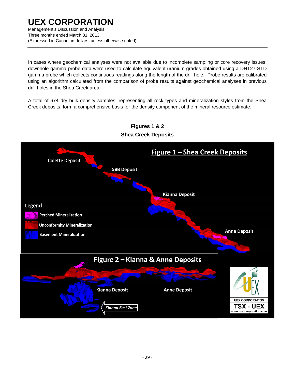Management's Discussion and Analysis Three months ended March 31, 2013 (Expressed in Canadian dollars, unless otherwise noted)

In cases where geochemical analyses were not available due to incomplete sampling or core recovery issues, downhole gamma probe data were used to calculate equivalent uranium grades obtained using a DHT27-STD gamma probe which collects continuous readings along the length of the drill hole. Probe results are calibrated using an algorithm calculated from the comparison of probe results against geochemical analyses in previous drill holes in the Shea Creek area.

A total of 674 dry bulk density samples, representing all rock types and mineralization styles from the Shea Creek deposits, form a comprehensive basis for the density component of the mineral resource estimate.



**Figures 1 & 2 Shea Creek Deposits**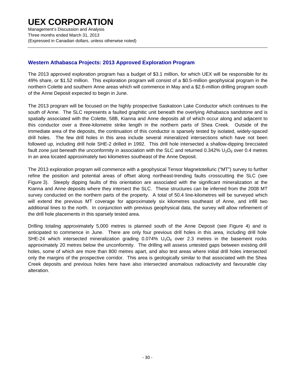(Expressed in Canadian dollars, unless otherwise noted)

### **Western Athabasca Projects: 2013 Approved Exploration Program**

The 2013 approved exploration program has a budget of \$3.1 million, for which UEX will be responsible for its 49% share, or \$1.52 million. This exploration program will consist of a \$0.5-million geophysical program in the northern Colette and southern Anne areas which will commence in May and a \$2.6-million drilling program south of the Anne Deposit expected to begin in June.

The 2013 program will be focused on the highly prospective Saskatoon Lake Conductor which continues to the south of Anne. The SLC represents a faulted graphitic unit beneath the overlying Athabasca sandstone and is spatially associated with the Colette, 58B, Kianna and Anne deposits all of which occur along and adjacent to this conductor over a three-kilometre strike length in the northern parts of Shea Creek. Outside of the immediate area of the deposits, the continuation of this conductor is sparsely tested by isolated, widely-spaced drill holes. The few drill holes in this area include several mineralized intersections which have not been followed up, including drill hole SHE-2 drilled in 1992. This drill hole intersected a shallow-dipping brecciated fault zone just beneath the unconformity in association with the SLC and returned  $0.342\%$  U<sub>3</sub>O<sub>8</sub> over 0.4 metres in an area located approximately two kilometres southeast of the Anne Deposit.

The 2013 exploration program will commence with a geophysical Tensor Magnetotelluric ("MT") survey to further refine the position and potential areas of offset along northeast-trending faults crosscutting the SLC (see Figure 3). Steeply dipping faults of this orientation are associated with the significant mineralization at the Kianna and Anne deposits where they intersect the SLC. These structures can be inferred from the 2008 MT survey conducted on the northern parts of the property. A total of 50.4 line-kilometres will be surveyed which will extend the previous MT coverage for approximately six kilometres southeast of Anne, and infill two additional lines to the north. In conjunction with previous geophysical data, the survey will allow refinement of the drill hole placements in this sparsely tested area.

Drilling totaling approximately 5,000 metres is planned south of the Anne Deposit (see Figure 4) and is anticipated to commence in June. There are only four previous drill holes in this area, including drill hole SHE-24 which intersected mineralization grading  $0.074\%$  U<sub>3</sub>O<sub>8</sub> over 2.3 metres in the basement rocks approximately 20 metres below the unconformity. The drilling will assess untested gaps between existing drill holes, some of which are more than 800 metres apart, and also test areas where initial drill holes intersected only the margins of the prospective corridor. This area is geologically similar to that associated with the Shea Creek deposits and previous holes here have also intersected anomalous radioactivity and favourable clay alteration.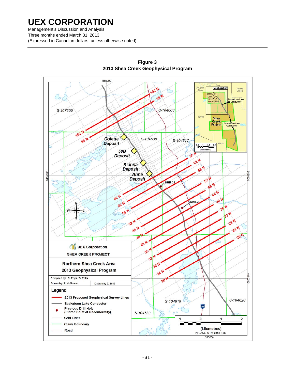Management's Discussion and Analysis Three months ended March 31, 2013 (Expressed in Canadian dollars, unless otherwise noted)



**Figure 3 2013 Shea Creek Geophysical Program**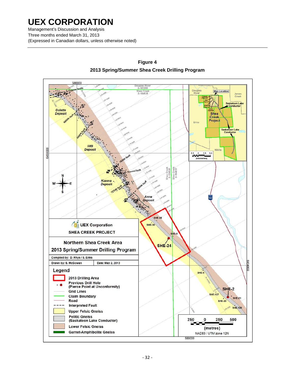Management's Discussion and Analysis Three months ended March 31, 2013 (Expressed in Canadian dollars, unless otherwise noted)



**Figure 4 2013 Spring/Summer Shea Creek Drilling Program**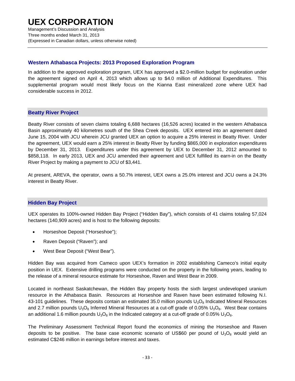Management's Discussion and Analysis Three months ended March 31, 2013 (Expressed in Canadian dollars, unless otherwise noted)

### **Western Athabasca Projects: 2013 Proposed Exploration Program**

In addition to the approved exploration program, UEX has approved a \$2.0-million budget for exploration under the agreement signed on April 4, 2013 which allows up to \$4.0 million of Additional Expenditures. This supplemental program would most likely focus on the Kianna East mineralized zone where UEX had considerable success in 2012.

### **Beatty River Project**

Beatty River consists of seven claims totaling 6,688 hectares (16,526 acres) located in the western Athabasca Basin approximately 40 kilometres south of the Shea Creek deposits. UEX entered into an agreement dated June 15, 2004 with JCU wherein JCU granted UEX an option to acquire a 25% interest in Beatty River. Under the agreement, UEX would earn a 25% interest in Beatty River by funding \$865,000 in exploration expenditures by December 31, 2013. Expenditures under this agreement by UEX to December 31, 2012 amounted to \$858,118. In early 2013, UEX and JCU amended their agreement and UEX fulfilled its earn-in on the Beatty River Project by making a payment to JCU of \$3,441.

At present, AREVA, the operator, owns a 50.7% interest, UEX owns a 25.0% interest and JCU owns a 24.3% interest in Beatty River.

### **Hidden Bay Project**

UEX operates its 100%-owned Hidden Bay Project ("Hidden Bay"), which consists of 41 claims totaling 57,024 hectares (140,909 acres) and is host to the following deposits:

- Horseshoe Deposit ("Horseshoe");
- Raven Deposit ("Raven"); and
- West Bear Deposit ("West Bear").

Hidden Bay was acquired from Cameco upon UEX's formation in 2002 establishing Cameco's initial equity position in UEX. Extensive drilling programs were conducted on the property in the following years, leading to the release of a mineral resource estimate for Horseshoe, Raven and West Bear in 2009.

Located in northeast Saskatchewan, the Hidden Bay property hosts the sixth largest undeveloped uranium resource in the Athabasca Basin. Resources at Horseshoe and Raven have been estimated following N.I. 43-101 guidelines. These deposits contain an estimated 35.0 million pounds  $U_3O_8$  Indicated Mineral Resources and 2.7 million pounds  $U_3O_8$  Inferred Mineral Resources at a cut-off grade of 0.05%  $U_3O_8$ . West Bear contains an additional 1.6 million pounds  $U_3O_8$  in the Indicated category at a cut-off grade of 0.05%  $U_3O_8$ .

The Preliminary Assessment Technical Report found the economics of mining the Horseshoe and Raven deposits to be positive. The base case economic scenario of US\$60 per pound of  $U_3O_8$  would yield an estimated C\$246 million in earnings before interest and taxes.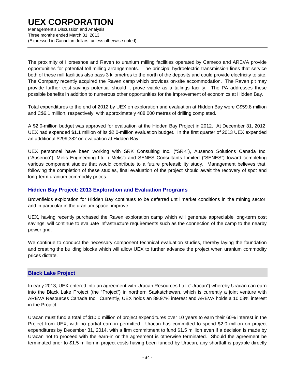Management's Discussion and Analysis Three months ended March 31, 2013 (Expressed in Canadian dollars, unless otherwise noted)

The proximity of Horseshoe and Raven to uranium milling facilities operated by Cameco and AREVA provide opportunities for potential toll milling arrangements. The principal hydroelectric transmission lines that service both of these mill facilities also pass 3 kilometres to the north of the deposits and could provide electricity to site. The Company recently acquired the Raven camp which provides on-site accommodation. The Raven pit may provide further cost-savings potential should it prove viable as a tailings facility. The PA addresses these possible benefits in addition to numerous other opportunities for the improvement of economics at Hidden Bay.

Total expenditures to the end of 2012 by UEX on exploration and evaluation at Hidden Bay were C\$59.8 million and C\$6.1 million, respectively, with approximately 488,000 metres of drilling completed.

A \$2.0-million budget was approved for evaluation at the Hidden Bay Project in 2012. At December 31, 2012, UEX had expended \$1.1 million of its \$2.0-million evaluation budget. In the first quarter of 2013 UEX expended an additional \$299,382 on evaluation at Hidden Bay.

UEX personnel have been working with SRK Consulting Inc. ("SRK"), Ausenco Solutions Canada Inc. ("Ausenco"), Melis Engineering Ltd. ("Melis") and SENES Consultants Limited ("SENES") toward completing various component studies that would contribute to a future prefeasibility study. Management believes that, following the completion of these studies, final evaluation of the project should await the recovery of spot and long-term uranium commodity prices.

### **Hidden Bay Project: 2013 Exploration and Evaluation Programs**

Brownfields exploration for Hidden Bay continues to be deferred until market conditions in the mining sector, and in particular in the uranium space, improve.

UEX, having recently purchased the Raven exploration camp which will generate appreciable long-term cost savings, will continue to evaluate infrastructure requirements such as the connection of the camp to the nearby power grid.

We continue to conduct the necessary component technical evaluation studies, thereby laying the foundation and creating the building blocks which will allow UEX to further advance the project when uranium commodity prices dictate.

#### **Black Lake Project**

In early 2013, UEX entered into an agreement with Uracan Resources Ltd. ("Uracan") whereby Uracan can earn into the Black Lake Project (the "Project") in northern Saskatchewan, which is currently a joint venture with AREVA Resources Canada Inc. Currently, UEX holds an 89.97% interest and AREVA holds a 10.03% interest in the Project.

Uracan must fund a total of \$10.0 million of project expenditures over 10 years to earn their 60% interest in the Project from UEX, with no partial earn-in permitted. Uracan has committed to spend \$2.0 million on project expenditures by December 31, 2014, with a firm commitment to fund \$1.5 million even if a decision is made by Uracan not to proceed with the earn-in or the agreement is otherwise terminated. Should the agreement be terminated prior to \$1.5 million in project costs having been funded by Uracan, any shortfall is payable directly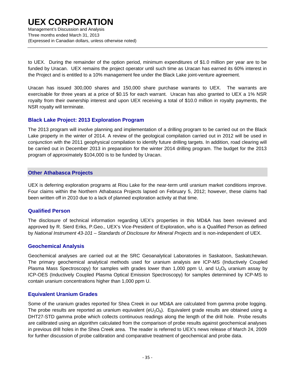### **UEX CORPORATION**  Management's Discussion and Analysis Three months ended March 31, 2013

(Expressed in Canadian dollars, unless otherwise noted)

to UEX. During the remainder of the option period, minimum expenditures of \$1.0 million per year are to be funded by Uracan. UEX remains the project operator until such time as Uracan has earned its 60% interest in the Project and is entitled to a 10% management fee under the Black Lake joint-venture agreement.

Uracan has issued 300,000 shares and 150,000 share purchase warrants to UEX. The warrants are exercisable for three years at a price of \$0.15 for each warrant. Uracan has also granted to UEX a 1% NSR royalty from their ownership interest and upon UEX receiving a total of \$10.0 million in royalty payments, the NSR royalty will terminate.

### **Black Lake Project: 2013 Exploration Program**

The 2013 program will involve planning and implementation of a drilling program to be carried out on the Black Lake property in the winter of 2014. A review of the geological compilation carried out in 2012 will be used in conjunction with the 2011 geophysical compilation to identify future drilling targets. In addition, road clearing will be carried out in December 2013 in preparation for the winter 2014 drilling program. The budget for the 2013 program of approximately \$104,000 is to be funded by Uracan.

### **Other Athabasca Projects**

UEX is deferring exploration programs at Riou Lake for the near-term until uranium market conditions improve. Four claims within the Northern Athabasca Projects lapsed on February 5, 2012; however, these claims had been written off in 2010 due to a lack of planned exploration activity at that time.

#### **Qualified Person**

The disclosure of technical information regarding UEX's properties in this MD&A has been reviewed and approved by R. Sierd Eriks, P.Geo., UEX's Vice-President of Exploration, who is a Qualified Person as defined by *National Instrument 43-101 – Standards of Disclosure for Mineral Projects* and is non-independent of UEX.

### **Geochemical Analysis**

Geochemical analyses are carried out at the SRC Geoanalytical Laboratories in Saskatoon, Saskatchewan. The primary geochemical analytical methods used for uranium analysis are ICP-MS (Inductively Coupled Plasma Mass Spectroscopy) for samples with grades lower than 1,000 ppm U, and U<sub>3</sub>O<sub>8</sub> uranium assay by ICP-OES (Inductively Coupled Plasma Optical Emission Spectroscopy) for samples determined by ICP-MS to contain uranium concentrations higher than 1,000 ppm U.

### **Equivalent Uranium Grades**

Some of the uranium grades reported for Shea Creek in our MD&A are calculated from gamma probe logging. The probe results are reported as uranium equivalent ( $eU_3O_8$ ). Equivalent grade results are obtained using a DHT27-STD gamma probe which collects continuous readings along the length of the drill hole. Probe results are calibrated using an algorithm calculated from the comparison of probe results against geochemical analyses in previous drill holes in the Shea Creek area. The reader is referred to UEX's news release of March 24, 2009 for further discussion of probe calibration and comparative treatment of geochemical and probe data.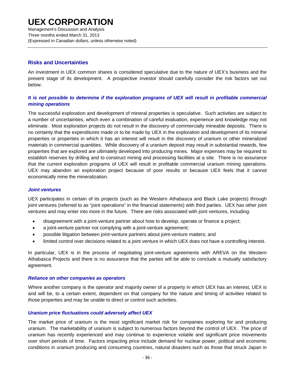Management's Discussion and Analysis Three months ended March 31, 2013 (Expressed in Canadian dollars, unless otherwise noted)

### **Risks and Uncertainties**

An investment in UEX common shares is considered speculative due to the nature of UEX's business and the present stage of its development. A prospective investor should carefully consider the risk factors set out below.

### *It is not possible to determine if the exploration programs of UEX will result in profitable commercial mining operations*

The successful exploration and development of mineral properties is speculative. Such activities are subject to a number of uncertainties, which even a combination of careful evaluation, experience and knowledge may not eliminate. Most exploration projects do not result in the discovery of commercially mineable deposits. There is no certainty that the expenditures made or to be made by UEX in the exploration and development of its mineral properties or properties in which it has an interest will result in the discovery of uranium or other mineralized materials in commercial quantities. While discovery of a uranium deposit may result in substantial rewards, few properties that are explored are ultimately developed into producing mines. Major expenses may be required to establish reserves by drilling and to construct mining and processing facilities at a site. There is no assurance that the current exploration programs of UEX will result in profitable commercial uranium mining operations. UEX may abandon an exploration project because of poor results or because UEX feels that it cannot economically mine the mineralization.

#### *Joint ventures*

UEX participates in certain of its projects (such as the Western Athabasca and Black Lake projects) through joint ventures (referred to as "joint operations" in the financial statements) with third parties. UEX has other joint ventures and may enter into more in the future. There are risks associated with joint ventures, including:

- disagreement with a joint-venture partner about how to develop, operate or finance a project;
- a joint-venture partner not complying with a joint-venture agreement;
- possible litigation between joint-venture partners about joint-venture matters; and
- limited control over decisions related to a joint venture in which UEX does not have a controlling interest.

In particular, UEX is in the process of negotiating joint-venture agreements with AREVA on the Western Athabasca Projects and there is no assurance that the parties will be able to conclude a mutually satisfactory agreement.

#### *Reliance on other companies as operators*

Where another company is the operator and majority owner of a property in which UEX has an interest, UEX is and will be, to a certain extent, dependent on that company for the nature and timing of activities related to those properties and may be unable to direct or control such activities.

#### *Uranium price fluctuations could adversely affect UEX*

The market price of uranium is the most significant market risk for companies exploring for and producing uranium. The marketability of uranium is subject to numerous factors beyond the control of UEX. The price of uranium has recently experienced and may continue to experience volatile and significant price movements over short periods of time. Factors impacting price include demand for nuclear power, political and economic conditions in uranium producing and consuming countries, natural disasters such as those that struck Japan in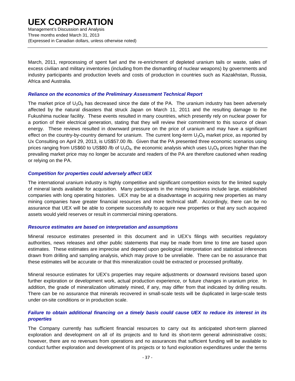Three months ended March 31, 2013 (Expressed in Canadian dollars, unless otherwise noted)

March, 2011, reprocessing of spent fuel and the re-enrichment of depleted uranium tails or waste, sales of excess civilian and military inventories (including from the dismantling of nuclear weapons) by governments and industry participants and production levels and costs of production in countries such as Kazakhstan, Russia, Africa and Australia.

#### *Reliance on the economics of the Preliminary Assessment Technical Report*

The market price of  $U_3O_8$  has decreased since the date of the PA. The uranium industry has been adversely affected by the natural disasters that struck Japan on March 11, 2011 and the resulting damage to the Fukushima nuclear facility. These events resulted in many countries, which presently rely on nuclear power for a portion of their electrical generation, stating that they will review their commitment to this source of clean energy. These reviews resulted in downward pressure on the price of uranium and may have a significant effect on the country-by-country demand for uranium. The current long-term  $U_3O_8$  market price, as reported by Ux Consulting on April 29, 2013, is US\$57.00 /lb. Given that the PA presented three economic scenarios using prices ranging from US\$60 to US\$80 /lb of  $U_3O_8$ , the economic analysis which uses  $U_3O_8$  prices higher than the prevailing market price may no longer be accurate and readers of the PA are therefore cautioned when reading or relying on the PA.

#### *Competition for properties could adversely affect UEX*

The international uranium industry is highly competitive and significant competition exists for the limited supply of mineral lands available for acquisition. Many participants in the mining business include large, established companies with long operating histories. UEX may be at a disadvantage in acquiring new properties as many mining companies have greater financial resources and more technical staff. Accordingly, there can be no assurance that UEX will be able to compete successfully to acquire new properties or that any such acquired assets would yield reserves or result in commercial mining operations.

#### *Resource estimates are based on interpretation and assumptions*

Mineral resource estimates presented in this document and in UEX's filings with securities regulatory authorities, news releases and other public statements that may be made from time to time are based upon estimates. These estimates are imprecise and depend upon geological interpretation and statistical inferences drawn from drilling and sampling analysis, which may prove to be unreliable. There can be no assurance that these estimates will be accurate or that this mineralization could be extracted or processed profitably.

Mineral resource estimates for UEX's properties may require adjustments or downward revisions based upon further exploration or development work, actual production experience, or future changes in uranium price. In addition, the grade of mineralization ultimately mined, if any, may differ from that indicated by drilling results. There can be no assurance that minerals recovered in small-scale tests will be duplicated in large-scale tests under on-site conditions or in production scale.

### *Failure to obtain additional financing on a timely basis could cause UEX to reduce its interest in its properties*

The Company currently has sufficient financial resources to carry out its anticipated short-term planned exploration and development on all of its projects and to fund its short-term general administrative costs; however, there are no revenues from operations and no assurances that sufficient funding will be available to conduct further exploration and development of its projects or to fund exploration expenditures under the terms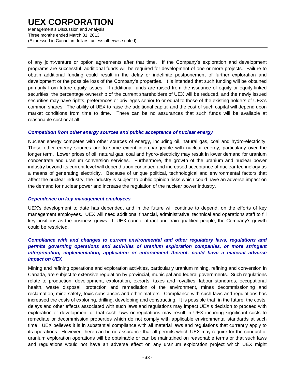Management's Discussion and Analysis Three months ended March 31, 2013 (Expressed in Canadian dollars, unless otherwise noted)

of any joint-venture or option agreements after that time. If the Company's exploration and development programs are successful, additional funds will be required for development of one or more projects. Failure to obtain additional funding could result in the delay or indefinite postponement of further exploration and development or the possible loss of the Company's properties. It is intended that such funding will be obtained primarily from future equity issues. If additional funds are raised from the issuance of equity or equity-linked securities, the percentage ownership of the current shareholders of UEX will be reduced, and the newly issued securities may have rights, preferences or privileges senior to or equal to those of the existing holders of UEX's common shares. The ability of UEX to raise the additional capital and the cost of such capital will depend upon market conditions from time to time. There can be no assurances that such funds will be available at reasonable cost or at all.

#### *Competition from other energy sources and public acceptance of nuclear energy*

Nuclear energy competes with other sources of energy, including oil, natural gas, coal and hydro-electricity. These other energy sources are to some extent interchangeable with nuclear energy, particularly over the longer term. Lower prices of oil, natural gas, coal and hydro-electricity may result in lower demand for uranium concentrate and uranium conversion services. Furthermore, the growth of the uranium and nuclear power industry beyond its current level will depend upon continued and increased acceptance of nuclear technology as a means of generating electricity. Because of unique political, technological and environmental factors that affect the nuclear industry, the industry is subject to public opinion risks which could have an adverse impact on the demand for nuclear power and increase the regulation of the nuclear power industry.

#### *Dependence on key management employees*

UEX's development to date has depended, and in the future will continue to depend, on the efforts of key management employees. UEX will need additional financial, administrative, technical and operations staff to fill key positions as the business grows. If UEX cannot attract and train qualified people, the Company's growth could be restricted.

### *Compliance with and changes to current environmental and other regulatory laws, regulations and permits governing operations and activities of uranium exploration companies, or more stringent interpretation, implementation, application or enforcement thereof, could have a material adverse impact on UEX*

Mining and refining operations and exploration activities, particularly uranium mining, refining and conversion in Canada, are subject to extensive regulation by provincial, municipal and federal governments. Such regulations relate to production, development, exploration, exports, taxes and royalties, labour standards, occupational health, waste disposal, protection and remediation of the environment, mines decommissioning and reclamation, mine safety, toxic substances and other matters. Compliance with such laws and regulations has increased the costs of exploring, drilling, developing and constructing. It is possible that, in the future, the costs, delays and other effects associated with such laws and regulations may impact UEX's decision to proceed with exploration or development or that such laws or regulations may result in UEX incurring significant costs to remediate or decommission properties which do not comply with applicable environmental standards at such time. UEX believes it is in substantial compliance with all material laws and regulations that currently apply to its operations. However, there can be no assurance that all permits which UEX may require for the conduct of uranium exploration operations will be obtainable or can be maintained on reasonable terms or that such laws and regulations would not have an adverse effect on any uranium exploration project which UEX might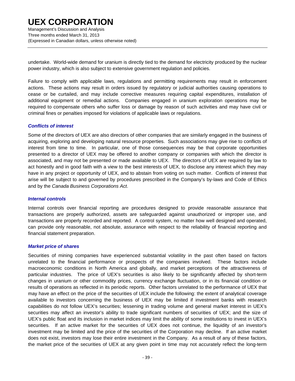Management's Discussion and Analysis Three months ended March 31, 2013 (Expressed in Canadian dollars, unless otherwise noted)

undertake. World-wide demand for uranium is directly tied to the demand for electricity produced by the nuclear power industry, which is also subject to extensive government regulation and policies.

Failure to comply with applicable laws, regulations and permitting requirements may result in enforcement actions. These actions may result in orders issued by regulatory or judicial authorities causing operations to cease or be curtailed, and may include corrective measures requiring capital expenditures, installation of additional equipment or remedial actions. Companies engaged in uranium exploration operations may be required to compensate others who suffer loss or damage by reason of such activities and may have civil or criminal fines or penalties imposed for violations of applicable laws or regulations.

#### *Conflicts of interest*

Some of the directors of UEX are also directors of other companies that are similarly engaged in the business of acquiring, exploring and developing natural resource properties. Such associations may give rise to conflicts of interest from time to time. In particular, one of those consequences may be that corporate opportunities presented to a director of UEX may be offered to another company or companies with which the director is associated, and may not be presented or made available to UEX. The directors of UEX are required by law to act honestly and in good faith with a view to the best interests of UEX, to disclose any interest which they may have in any project or opportunity of UEX, and to abstain from voting on such matter. Conflicts of interest that arise will be subject to and governed by procedures prescribed in the Company's by-laws and Code of Ethics and by the *Canada Business Corporations Act*.

#### *Internal controls*

Internal controls over financial reporting are procedures designed to provide reasonable assurance that transactions are properly authorized, assets are safeguarded against unauthorized or improper use, and transactions are properly recorded and reported. A control system, no matter how well designed and operated, can provide only reasonable, not absolute, assurance with respect to the reliability of financial reporting and financial statement preparation.

#### *Market price of shares*

Securities of mining companies have experienced substantial volatility in the past often based on factors unrelated to the financial performance or prospects of the companies involved. These factors include macroeconomic conditions in North America and globally, and market perceptions of the attractiveness of particular industries. The price of UEX's securities is also likely to be significantly affected by short-term changes in uranium or other commodity prices, currency exchange fluctuation, or in its financial condition or results of operations as reflected in its periodic reports. Other factors unrelated to the performance of UEX that may have an effect on the price of the securities of UEX include the following: the extent of analytical coverage available to investors concerning the business of UEX may be limited if investment banks with research capabilities do not follow UEX's securities; lessening in trading volume and general market interest in UEX's securities may affect an investor's ability to trade significant numbers of securities of UEX; and the size of UEX's public float and its inclusion in market indices may limit the ability of some institutions to invest in UEX's securities. If an active market for the securities of UEX does not continue, the liquidity of an investor's investment may be limited and the price of the securities of the Corporation may decline. If an active market does not exist, investors may lose their entire investment in the Company. As a result of any of these factors, the market price of the securities of UEX at any given point in time may not accurately reflect the long-term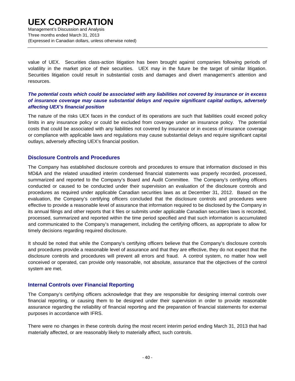Management's Discussion and Analysis Three months ended March 31, 2013 (Expressed in Canadian dollars, unless otherwise noted)

value of UEX. Securities class-action litigation has been brought against companies following periods of volatility in the market price of their securities. UEX may in the future be the target of similar litigation. Securities litigation could result in substantial costs and damages and divert management's attention and resources.

### *The potential costs which could be associated with any liabilities not covered by insurance or in excess of insurance coverage may cause substantial delays and require significant capital outlays, adversely affecting UEX's financial position*

The nature of the risks UEX faces in the conduct of its operations are such that liabilities could exceed policy limits in any insurance policy or could be excluded from coverage under an insurance policy. The potential costs that could be associated with any liabilities not covered by insurance or in excess of insurance coverage or compliance with applicable laws and regulations may cause substantial delays and require significant capital outlays, adversely affecting UEX's financial position.

### **Disclosure Controls and Procedures**

The Company has established disclosure controls and procedures to ensure that information disclosed in this MD&A and the related unaudited interim condensed financial statements was properly recorded, processed, summarized and reported to the Company's Board and Audit Committee. The Company's certifying officers conducted or caused to be conducted under their supervision an evaluation of the disclosure controls and procedures as required under applicable Canadian securities laws as at December 31, 2012. Based on the evaluation, the Company's certifying officers concluded that the disclosure controls and procedures were effective to provide a reasonable level of assurance that information required to be disclosed by the Company in its annual filings and other reports that it files or submits under applicable Canadian securities laws is recorded, processed, summarized and reported within the time period specified and that such information is accumulated and communicated to the Company's management, including the certifying officers, as appropriate to allow for timely decisions regarding required disclosure.

It should be noted that while the Company's certifying officers believe that the Company's disclosure controls and procedures provide a reasonable level of assurance and that they are effective, they do not expect that the disclosure controls and procedures will prevent all errors and fraud. A control system, no matter how well conceived or operated, can provide only reasonable, not absolute, assurance that the objectives of the control system are met.

#### **Internal Controls over Financial Reporting**

The Company's certifying officers acknowledge that they are responsible for designing internal controls over financial reporting, or causing them to be designed under their supervision in order to provide reasonable assurance regarding the reliability of financial reporting and the preparation of financial statements for external purposes in accordance with IFRS.

There were no changes in these controls during the most recent interim period ending March 31, 2013 that had materially affected, or are reasonably likely to materially affect, such controls.